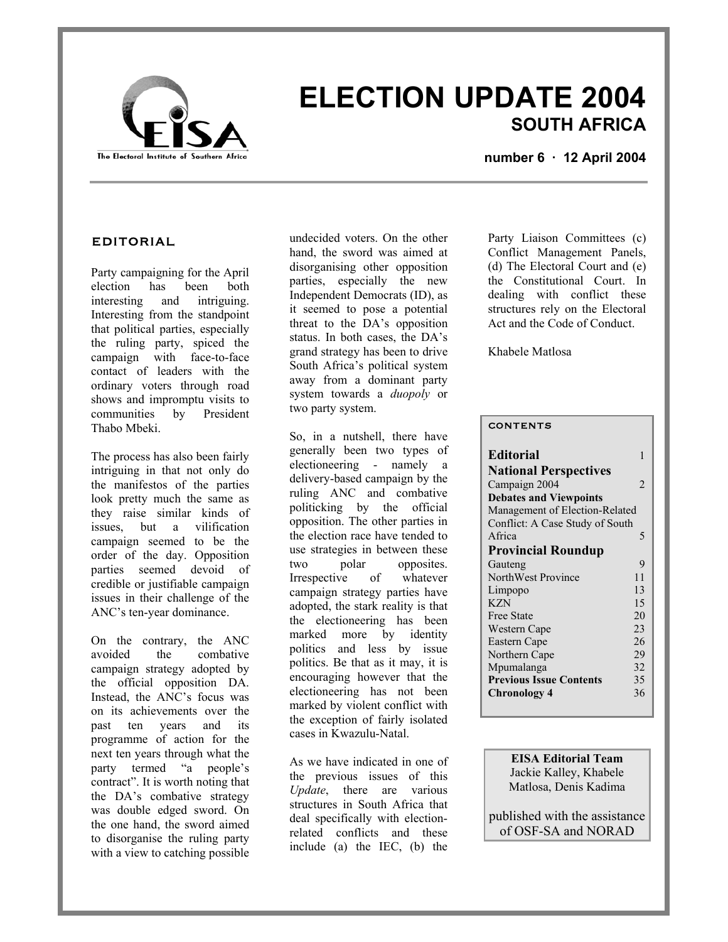

# **ELECTION UPDATE 2004 SOUTH AFRICA**

**number 6 · 12 April 2004**

### **EDITORIAL**

Party campaigning for the April election has been both interesting and intriguing. Interesting from the standpoint that political parties, especially the ruling party, spiced the campaign with face-to-face contact of leaders with the ordinary voters through road shows and impromptu visits to communities by President Thabo Mbeki.

The process has also been fairly intriguing in that not only do the manifestos of the parties look pretty much the same as they raise similar kinds of issues, but a vilification campaign seemed to be the order of the day. Opposition parties seemed devoid of credible or justifiable campaign issues in their challenge of the ANC's ten-year dominance.

On the contrary, the ANC<br>avoided the combative avoided the combative campaign strategy adopted by the official opposition DA. Instead, the ANC's focus was on its achievements over the past ten years and its programme of action for the next ten years through what the party termed "a people's contract". It is worth noting that the DA's combative strategy was double edged sword. On the one hand, the sword aimed to disorganise the ruling party with a view to catching possible

undecided voters. On the other hand, the sword was aimed at disorganising other opposition parties, especially the new Independent Democrats (ID), as it seemed to pose a potential threat to the DA's opposition status. In both cases, the DA's grand strategy has been to drive South Africa's political system away from a dominant party system towards a *duopoly* or two party system.

So, in a nutshell, there have generally been two types of electioneering - namely a delivery-based campaign by the ruling ANC and combative politicking by the official opposition. The other parties in the election race have tended to use strategies in between these two polar opposites. Irrespective of whatever campaign strategy parties have adopted, the stark reality is that the electioneering has been marked more by identity politics and less by issue politics. Be that as it may, it is encouraging however that the electioneering has not been marked by violent conflict with the exception of fairly isolated cases in Kwazulu-Natal.

As we have indicated in one of the previous issues of this *Update*, there are various structures in South Africa that deal specifically with electionrelated conflicts and these include (a) the IEC, (b) the

Party Liaison Committees (c) Conflict Management Panels, (d) The Electoral Court and (e) the Constitutional Court. In dealing with conflict these structures rely on the Electoral Act and the Code of Conduct.

Khabele Matlosa

#### **CONTENTS**

| <b>Editorial</b>                | 1                           |  |
|---------------------------------|-----------------------------|--|
| <b>National Perspectives</b>    |                             |  |
| Campaign 2004                   | $\mathcal{D}_{\mathcal{A}}$ |  |
| <b>Debates and Viewpoints</b>   |                             |  |
| Management of Election-Related  |                             |  |
| Conflict: A Case Study of South |                             |  |
| A frica                         | 5                           |  |
| <b>Provincial Roundup</b>       |                             |  |
| Gauteng                         | 9                           |  |
| NorthWest Province              | 11                          |  |
| Limpopo                         | 13                          |  |
| <b>KZN</b>                      | 15                          |  |
| <b>Free State</b>               | 20                          |  |
| Western Cape                    | 23                          |  |
| Eastern Cape                    | 26                          |  |
| Northern Cape                   | 29                          |  |
| Mpumalanga                      | 32                          |  |
| <b>Previous Issue Contents</b>  | 35                          |  |
| Chronology 4                    | 36                          |  |

**EISA Editorial Team**  Jackie Kalley, Khabele Matlosa, Denis Kadima

published with the assistance of OSF-SA and NORAD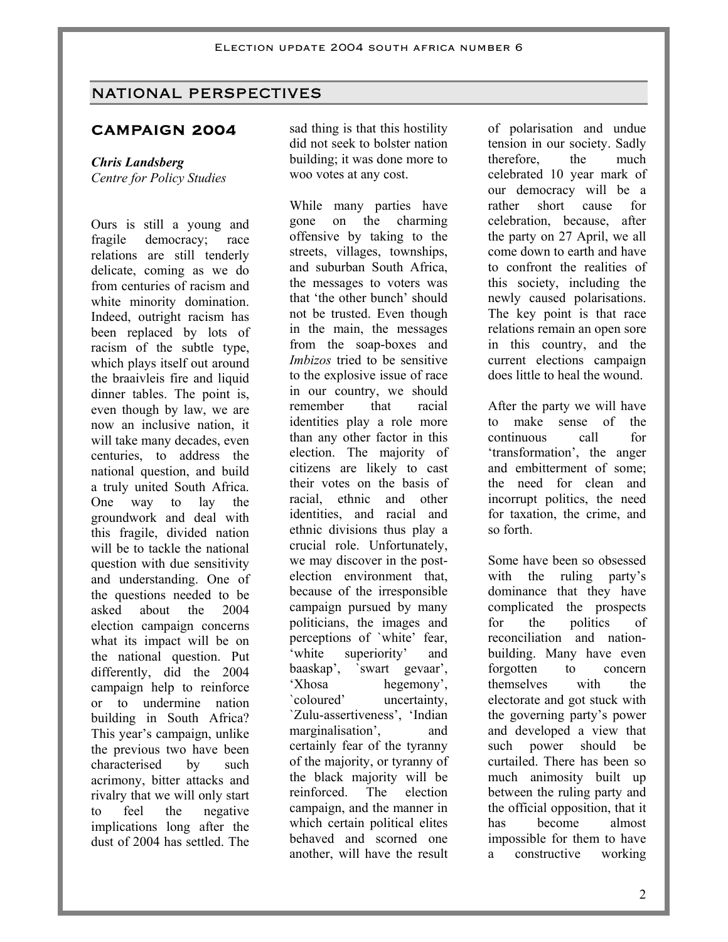# NATIONAL PERSPECTIVES

# **CAMPAIGN 2004**

# *Chris Landsberg*

*Centre for Policy Studies* 

Ours is still a young and fragile democracy; race relations are still tenderly delicate, coming as we do from centuries of racism and white minority domination. Indeed, outright racism has been replaced by lots of racism of the subtle type, which plays itself out around the braaivleis fire and liquid dinner tables. The point is, even though by law, we are now an inclusive nation, it will take many decades, even centuries, to address the national question, and build a truly united South Africa. One way to lay the groundwork and deal with this fragile, divided nation will be to tackle the national question with due sensitivity and understanding. One of the questions needed to be asked about the 2004 election campaign concerns what its impact will be on the national question. Put differently, did the 2004 campaign help to reinforce or to undermine nation building in South Africa? This year's campaign, unlike the previous two have been characterised by such acrimony, bitter attacks and rivalry that we will only start to feel the negative implications long after the dust of 2004 has settled. The

sad thing is that this hostility did not seek to bolster nation building; it was done more to woo votes at any cost.

While many parties have gone on the charming offensive by taking to the streets, villages, townships, and suburban South Africa, the messages to voters was that 'the other bunch' should not be trusted. Even though in the main, the messages from the soap-boxes and *Imbizos* tried to be sensitive to the explosive issue of race in our country, we should remember that racial identities play a role more than any other factor in this election. The majority of citizens are likely to cast their votes on the basis of racial, ethnic and other identities, and racial and ethnic divisions thus play a crucial role. Unfortunately, we may discover in the postelection environment that, because of the irresponsible campaign pursued by many politicians, the images and perceptions of `white' fear, 'white superiority' and baaskap', `swart gevaar', 'Xhosa hegemony', `coloured' uncertainty, `Zulu-assertiveness', 'Indian marginalisation', and certainly fear of the tyranny of the majority, or tyranny of the black majority will be reinforced. The election campaign, and the manner in which certain political elites behaved and scorned one another, will have the result

of polarisation and undue tension in our society. Sadly therefore, the much celebrated 10 year mark of our democracy will be a rather short cause for celebration, because, after the party on 27 April, we all come down to earth and have to confront the realities of this society, including the newly caused polarisations. The key point is that race relations remain an open sore in this country, and the current elections campaign does little to heal the wound.

After the party we will have to make sense of the continuous call for 'transformation', the anger and embitterment of some; the need for clean and incorrupt politics, the need for taxation, the crime, and so forth.

Some have been so obsessed with the ruling party's dominance that they have complicated the prospects for the politics of reconciliation and nationbuilding. Many have even forgotten to concern themselves with the electorate and got stuck with the governing party's power and developed a view that such power should be curtailed. There has been so much animosity built up between the ruling party and the official opposition, that it has become almost impossible for them to have a constructive working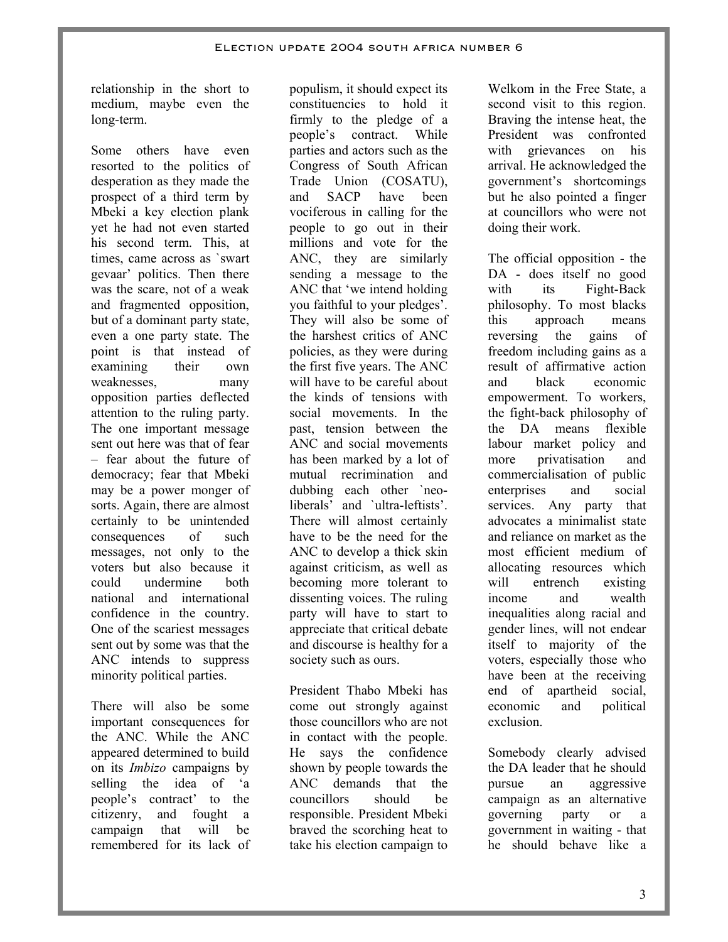relationship in the short to medium, maybe even the long-term.

Some others have even resorted to the politics of desperation as they made the prospect of a third term by Mbeki a key election plank yet he had not even started his second term. This, at times, came across as `swart gevaar' politics. Then there was the scare, not of a weak and fragmented opposition, but of a dominant party state, even a one party state. The point is that instead of examining their own weaknesses, many opposition parties deflected attention to the ruling party. The one important message sent out here was that of fear – fear about the future of democracy; fear that Mbeki may be a power monger of sorts. Again, there are almost certainly to be unintended consequences of such messages, not only to the voters but also because it could undermine both national and international confidence in the country. One of the scariest messages sent out by some was that the ANC intends to suppress minority political parties.

There will also be some important consequences for the ANC. While the ANC appeared determined to build on its *Imbizo* campaigns by selling the idea of 'a people's contract' to the citizenry, and fought a campaign that will be remembered for its lack of

populism, it should expect its constituencies to hold it firmly to the pledge of a people's contract. While parties and actors such as the Congress of South African Trade Union (COSATU), and SACP have been vociferous in calling for the people to go out in their millions and vote for the ANC, they are similarly sending a message to the ANC that 'we intend holding you faithful to your pledges'. They will also be some of the harshest critics of ANC policies, as they were during the first five years. The ANC will have to be careful about the kinds of tensions with social movements. In the past, tension between the ANC and social movements has been marked by a lot of mutual recrimination and dubbing each other `neoliberals' and `ultra-leftists'. There will almost certainly have to be the need for the ANC to develop a thick skin against criticism, as well as becoming more tolerant to dissenting voices. The ruling party will have to start to appreciate that critical debate and discourse is healthy for a society such as ours.

President Thabo Mbeki has come out strongly against those councillors who are not in contact with the people. He says the confidence shown by people towards the ANC demands that the councillors should be responsible. President Mbeki braved the scorching heat to take his election campaign to

Welkom in the Free State, a second visit to this region. Braving the intense heat, the President was confronted with grievances on his arrival. He acknowledged the government's shortcomings but he also pointed a finger at councillors who were not doing their work.

The official opposition - the DA - does itself no good with its Fight-Back philosophy. To most blacks this approach means reversing the gains of freedom including gains as a result of affirmative action and black economic empowerment. To workers, the fight-back philosophy of the DA means flexible labour market policy and more privatisation and commercialisation of public enterprises and social services. Any party that advocates a minimalist state and reliance on market as the most efficient medium of allocating resources which will entrench existing income and wealth inequalities along racial and gender lines, will not endear itself to majority of the voters, especially those who have been at the receiving end of apartheid social, economic and political exclusion.

Somebody clearly advised the DA leader that he should pursue an aggressive campaign as an alternative governing party or a government in waiting - that he should behave like a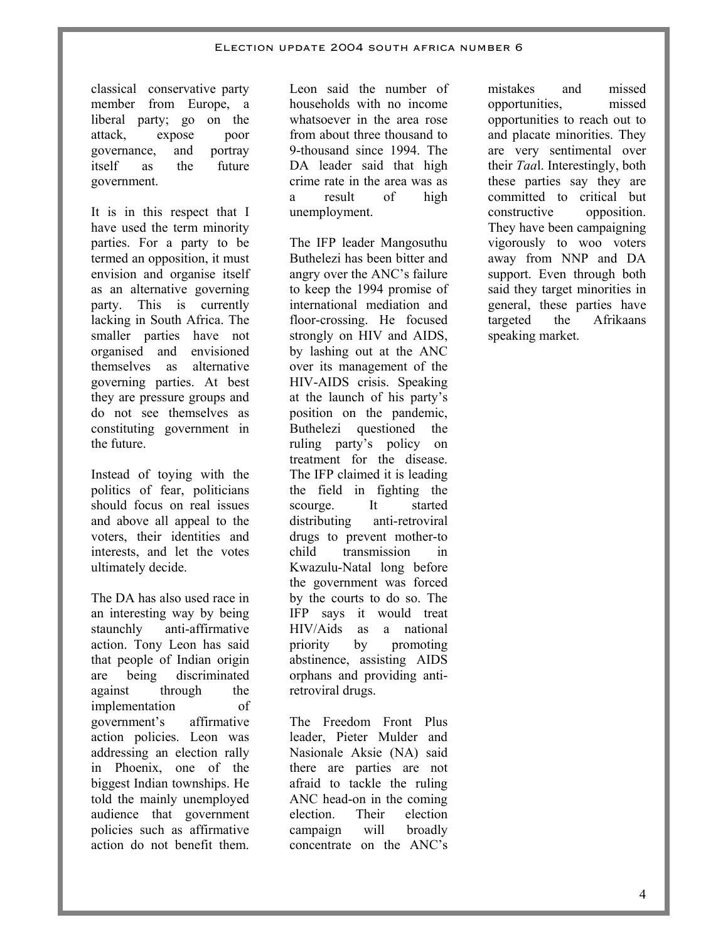classical conservative party member from Europe, a liberal party; go on the attack, expose poor governance, and portray itself as the future government.

It is in this respect that I have used the term minority parties. For a party to be termed an opposition, it must envision and organise itself as an alternative governing party. This is currently lacking in South Africa. The smaller parties have not organised and envisioned themselves as alternative governing parties. At best they are pressure groups and do not see themselves as constituting government in the future.

Instead of toying with the politics of fear, politicians should focus on real issues and above all appeal to the voters, their identities and interests, and let the votes ultimately decide.

The DA has also used race in an interesting way by being staunchly anti-affirmative action. Tony Leon has said that people of Indian origin are being discriminated against through the implementation of government's affirmative action policies. Leon was addressing an election rally in Phoenix, one of the biggest Indian townships. He told the mainly unemployed audience that government policies such as affirmative action do not benefit them.

Leon said the number of households with no income whatsoever in the area rose from about three thousand to 9-thousand since 1994. The DA leader said that high crime rate in the area was as a result of high unemployment.

The IFP leader Mangosuthu Buthelezi has been bitter and angry over the ANC's failure to keep the 1994 promise of international mediation and floor-crossing. He focused strongly on HIV and AIDS, by lashing out at the ANC over its management of the HIV-AIDS crisis. Speaking at the launch of his party's position on the pandemic, Buthelezi questioned the ruling party's policy on treatment for the disease. The IFP claimed it is leading the field in fighting the scourge. It started distributing anti-retroviral drugs to prevent mother-to child transmission in Kwazulu-Natal long before the government was forced by the courts to do so. The IFP says it would treat HIV/Aids as a national priority by promoting abstinence, assisting AIDS orphans and providing antiretroviral drugs.

The Freedom Front Plus leader, Pieter Mulder and Nasionale Aksie (NA) said there are parties are not afraid to tackle the ruling ANC head-on in the coming election. Their election campaign will broadly concentrate on the ANC's

mistakes and missed opportunities, missed opportunities to reach out to and placate minorities. They are very sentimental over their *Taa*l. Interestingly, both these parties say they are committed to critical but constructive opposition. They have been campaigning vigorously to woo voters away from NNP and DA support. Even through both said they target minorities in general, these parties have targeted the Afrikaans speaking market.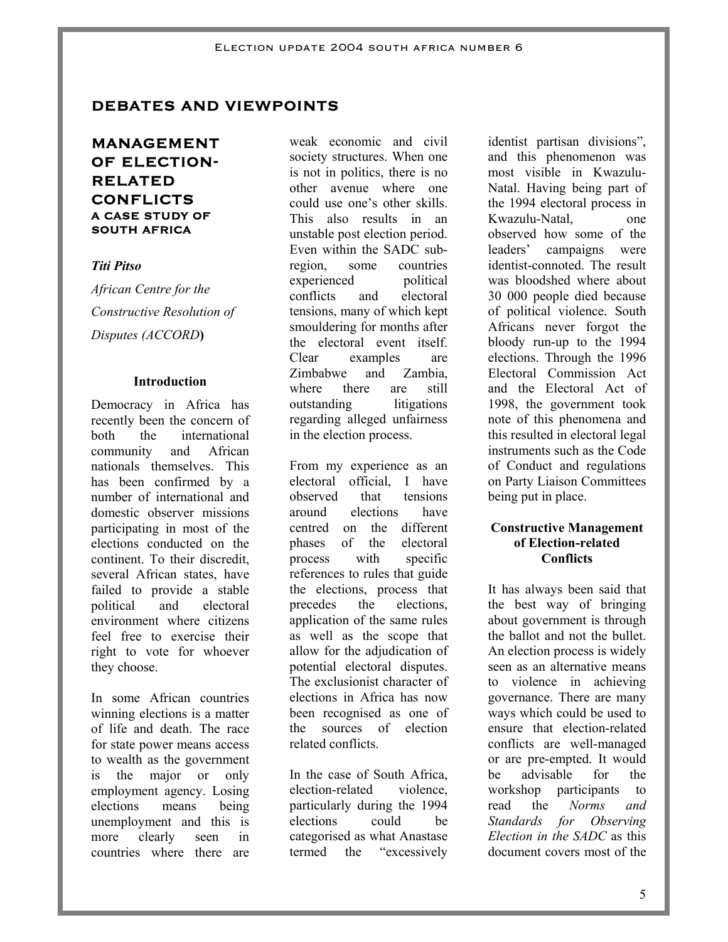# **DEBATES AND VIEWPOINTS**

# **MANAGEMENT OF ELECTION-RELATED CONFLICTS A CASE STUDY OF SOUTH AFRICA**

#### *Titi Pitso*

*African Centre for the Constructive Resolution of Disputes (ACCORD***)** 

#### **Introduction**

Democracy in Africa has recently been the concern of both the international community and African nationals themselves. This has been confirmed by a number of international and domestic observer missions participating in most of the elections conducted on the continent. To their discredit, several African states, have failed to provide a stable political and electoral environment where citizens feel free to exercise their right to vote for whoever they choose.

In some African countries winning elections is a matter of life and death. The race for state power means access to wealth as the government is the major or only employment agency. Losing elections means being unemployment and this is more clearly seen in countries where there are

weak economic and civil society structures. When one is not in politics, there is no other avenue where one could use one's other skills. This also results in an unstable post election period. Even within the SADC subregion, some countries experienced political conflicts and electoral tensions, many of which kept smouldering for months after the electoral event itself. Clear examples are Zimbabwe and Zambia, where there are still outstanding litigations regarding alleged unfairness in the election process.

From my experience as an electoral official, I have observed that tensions around elections have centred on the different phases of the electoral process with specific references to rules that guide the elections, process that precedes the elections, application of the same rules as well as the scope that allow for the adjudication of potential electoral disputes. The exclusionist character of elections in Africa has now been recognised as one of the sources of election related conflicts.

In the case of South Africa, election-related violence, particularly during the 1994 elections could be categorised as what Anastase termed the "excessively

identist partisan divisions", and this phenomenon was most visible in Kwazulu-Natal. Having being part of the 1994 electoral process in Kwazulu-Natal, one observed how some of the leaders' campaigns were identist-connoted. The result was bloodshed where about 30 000 people died because of political violence. South Africans never forgot the bloody run-up to the 1994 elections. Through the 1996 Electoral Commission Act and the Electoral Act of 1998, the government took note of this phenomena and this resulted in electoral legal instruments such as the Code of Conduct and regulations on Party Liaison Committees being put in place.

#### **Constructive Management of Election-related Conflicts**

It has always been said that the best way of bringing about government is through the ballot and not the bullet. An election process is widely seen as an alternative means to violence in achieving governance. There are many ways which could be used to ensure that election-related conflicts are well-managed or are pre-empted. It would be advisable for the workshop participants to read the *Norms and Standards for Observing Election in the SADC* as this document covers most of the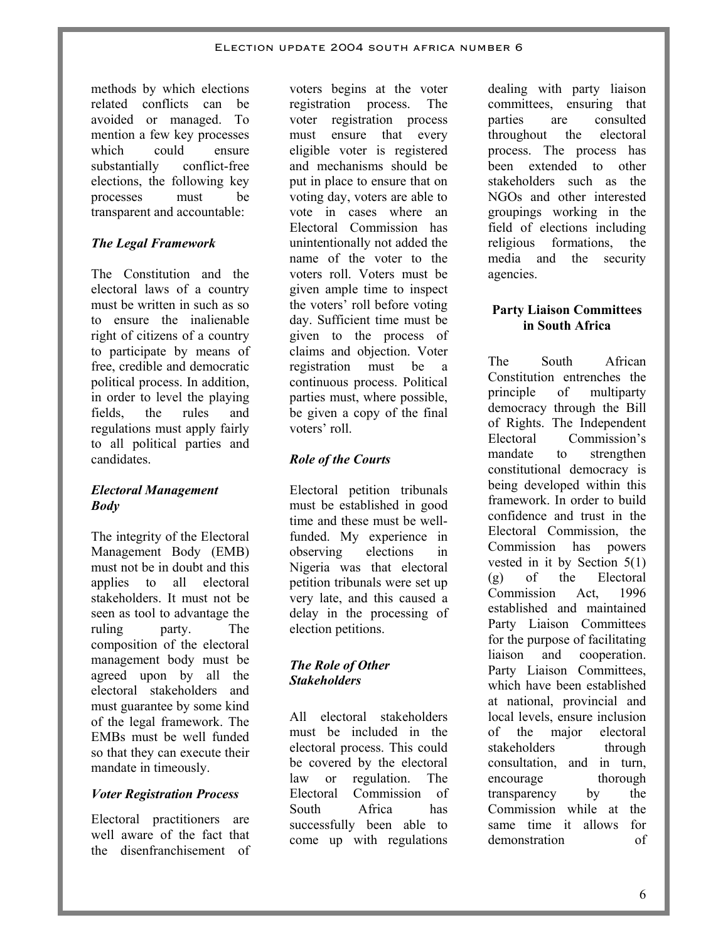methods by which elections related conflicts can be avoided or managed. To mention a few key processes which could ensure substantially conflict-free elections, the following key processes must be transparent and accountable:

### *The Legal Framework*

The Constitution and the electoral laws of a country must be written in such as so to ensure the inalienable right of citizens of a country to participate by means of free, credible and democratic political process. In addition, in order to level the playing fields, the rules and regulations must apply fairly to all political parties and candidates.

#### *Electoral Management Body*

The integrity of the Electoral Management Body (EMB) must not be in doubt and this applies to all electoral stakeholders. It must not be seen as tool to advantage the ruling party. The composition of the electoral management body must be agreed upon by all the electoral stakeholders and must guarantee by some kind of the legal framework. The EMBs must be well funded so that they can execute their mandate in timeously.

### *Voter Registration Process*

Electoral practitioners are well aware of the fact that the disenfranchisement of

voters begins at the voter registration process. The voter registration process must ensure that every eligible voter is registered and mechanisms should be put in place to ensure that on voting day, voters are able to vote in cases where an Electoral Commission has unintentionally not added the name of the voter to the voters roll. Voters must be given ample time to inspect the voters' roll before voting day. Sufficient time must be given to the process of claims and objection. Voter registration must be a continuous process. Political parties must, where possible, be given a copy of the final voters' roll.

### *Role of the Courts*

Electoral petition tribunals must be established in good time and these must be wellfunded. My experience in observing elections in Nigeria was that electoral petition tribunals were set up very late, and this caused a delay in the processing of election petitions.

### *The Role of Other Stakeholders*

All electoral stakeholders must be included in the electoral process. This could be covered by the electoral law or regulation. The Electoral Commission of South Africa has successfully been able to come up with regulations

dealing with party liaison committees, ensuring that parties are consulted throughout the electoral process. The process has been extended to other stakeholders such as the NGOs and other interested groupings working in the field of elections including religious formations, the media and the security agencies.

### **Party Liaison Committees in South Africa**

The South African Constitution entrenches the principle of multiparty democracy through the Bill of Rights. The Independent Electoral Commission's mandate to strengthen constitutional democracy is being developed within this framework. In order to build confidence and trust in the Electoral Commission, the Commission has powers vested in it by Section 5(1) (g) of the Electoral Commission Act, 1996 established and maintained Party Liaison Committees for the purpose of facilitating liaison and cooperation. Party Liaison Committees. which have been established at national, provincial and local levels, ensure inclusion of the major electoral stakeholders through consultation, and in turn, encourage thorough transparency by the Commission while at the same time it allows for demonstration of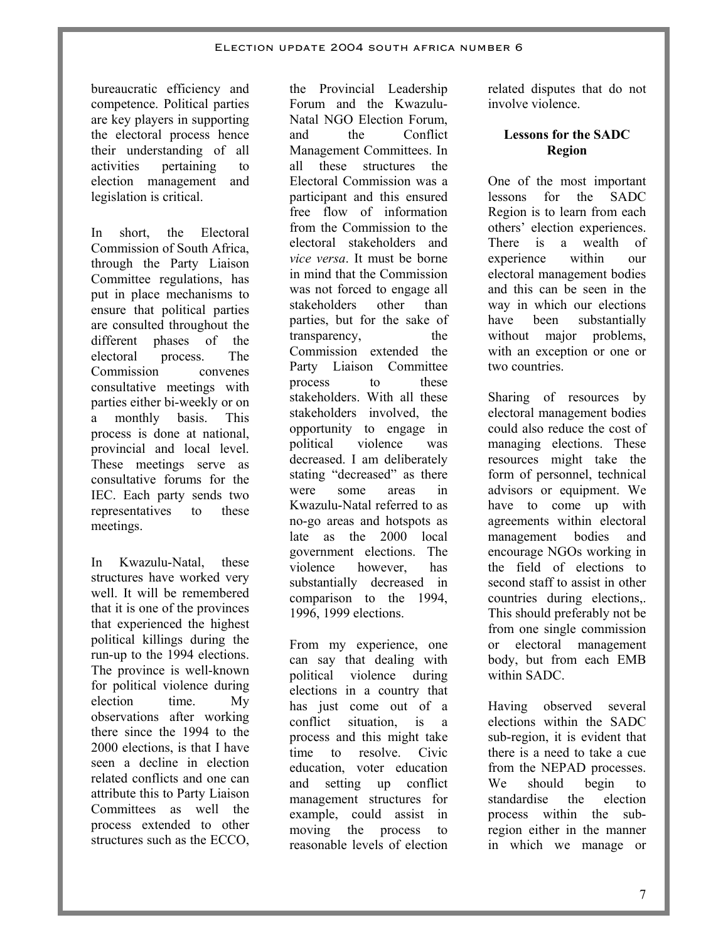bureaucratic efficiency and competence. Political parties are key players in supporting the electoral process hence their understanding of all activities pertaining to election management and legislation is critical.

In short the Electoral Commission of South Africa, through the Party Liaison Committee regulations, has put in place mechanisms to ensure that political parties are consulted throughout the different phases of the electoral process. The Commission convenes consultative meetings with parties either bi-weekly or on a monthly basis. This process is done at national, provincial and local level. These meetings serve as consultative forums for the IEC. Each party sends two representatives to these meetings.

In Kwazulu-Natal, these structures have worked very well. It will be remembered that it is one of the provinces that experienced the highest political killings during the run-up to the 1994 elections. The province is well-known for political violence during election time. My observations after working there since the 1994 to the 2000 elections, is that I have seen a decline in election related conflicts and one can attribute this to Party Liaison Committees as well the process extended to other structures such as the ECCO,

the Provincial Leadership Forum and the Kwazulu-Natal NGO Election Forum, and the Conflict Management Committees. In all these structures the Electoral Commission was a participant and this ensured free flow of information from the Commission to the electoral stakeholders and *vice versa*. It must be borne in mind that the Commission was not forced to engage all stakeholders other than parties, but for the sake of transparency, the Commission extended the Party Liaison Committee process to these stakeholders. With all these stakeholders involved, the opportunity to engage in political violence was decreased. I am deliberately stating "decreased" as there were some areas in Kwazulu-Natal referred to as no-go areas and hotspots as late as the 2000 local government elections. The violence however, has substantially decreased in comparison to the 1994, 1996, 1999 elections.

From my experience, one can say that dealing with political violence during elections in a country that has just come out of a conflict situation, is a process and this might take time to resolve. Civic education, voter education and setting up conflict management structures for example, could assist in moving the process to reasonable levels of election

related disputes that do not involve violence.

# **Lessons for the SADC Region**

One of the most important lessons for the SADC Region is to learn from each others' election experiences. There is a wealth of experience within our electoral management bodies and this can be seen in the way in which our elections have been substantially without major problems, with an exception or one or two countries.

Sharing of resources by electoral management bodies could also reduce the cost of managing elections. These resources might take the form of personnel, technical advisors or equipment. We have to come up with agreements within electoral management bodies and encourage NGOs working in the field of elections to second staff to assist in other countries during elections,. This should preferably not be from one single commission or electoral management body, but from each EMB within SADC.

Having observed several elections within the SADC sub-region, it is evident that there is a need to take a cue from the NEPAD processes. We should begin to standardise the election process within the subregion either in the manner in which we manage or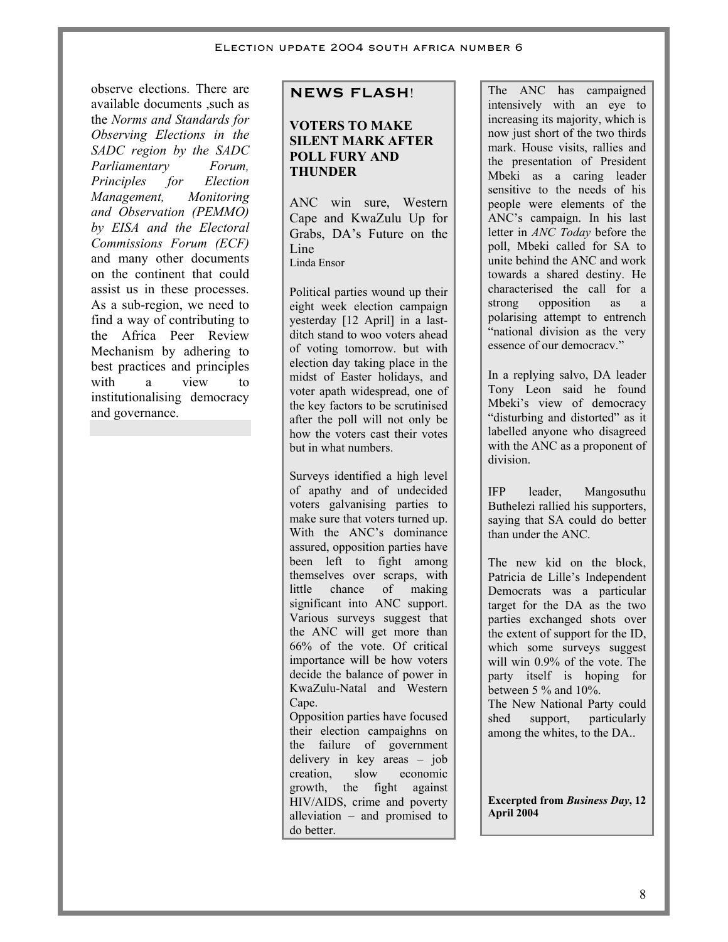observe elections. There are available documents ,such as the *Norms and Standards for Observing Elections in the SADC region by the SADC Parliamentary Forum, Principles for Election Management, Monitoring and Observation (PEMMO) by EISA and the Electoral Commissions Forum (ECF)* and many other documents on the continent that could assist us in these processes. As a sub-region, we need to find a way of contributing to the Africa Peer Review Mechanism by adhering to best practices and principles with a view to institutionalising democracy and governance.

# **NEWS FLASH**!

### **VOTERS TO MAKE SILENT MARK AFTER POLL FURY AND THUNDER**

ANC win sure, Western Cape and KwaZulu Up for Grabs, DA's Future on the Line Linda Ensor

Political parties wound up their eight week election campaign yesterday [12 April] in a lastditch stand to woo voters ahead of voting tomorrow. but with election day taking place in the midst of Easter holidays, and voter apath widespread, one of the key factors to be scrutinised after the poll will not only be how the voters cast their votes but in what numbers.

Surveys identified a high level of apathy and of undecided voters galvanising parties to make sure that voters turned up. With the ANC's dominance assured, opposition parties have been left to fight among themselves over scraps, with little chance of making significant into ANC support. Various surveys suggest that the ANC will get more than 66% of the vote. Of critical importance will be how voters decide the balance of power in KwaZulu-Natal and Western Cape.

Opposition parties have focused their election campaighns on the failure of government delivery in key areas – job creation, slow economic growth, the fight against HIV/AIDS, crime and poverty alleviation – and promised to do better.

The ANC has campaigned intensively with an eye to increasing its majority, which is now just short of the two thirds mark. House visits, rallies and the presentation of President Mbeki as a caring leader sensitive to the needs of his people were elements of the ANC's campaign. In his last letter in *ANC Today* before the poll, Mbeki called for SA to unite behind the ANC and work towards a shared destiny. He characterised the call for a strong opposition as a polarising attempt to entrench "national division as the very essence of our democracy."

In a replying salvo, DA leader Tony Leon said he found Mbeki's view of democracy "disturbing and distorted" as it labelled anyone who disagreed with the ANC as a proponent of division.

IFP leader, Mangosuthu Buthelezi rallied his supporters, saying that SA could do better than under the ANC.

The new kid on the block, Patricia de Lille's Independent Democrats was a particular target for the DA as the two parties exchanged shots over the extent of support for the ID, which some surveys suggest will win 0.9% of the vote. The party itself is hoping for between  $5\%$  and  $10\%$ . The New National Party could

shed support, particularly among the whites, to the DA..

**Excerpted from** *Business Day***, 12 April 2004**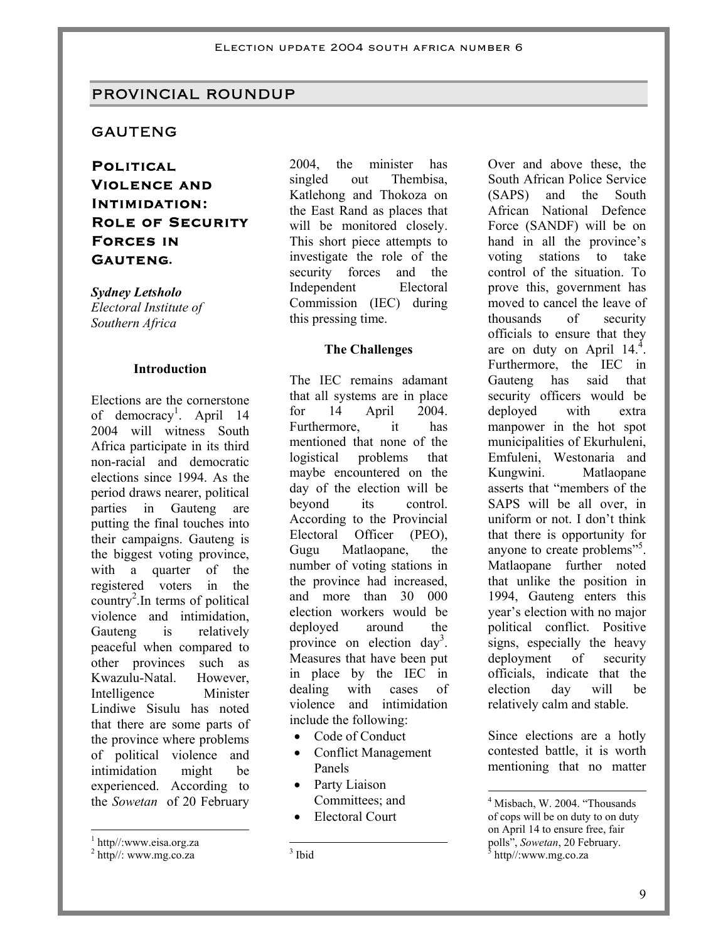#### PROVINCIAL ROUNDUP

#### GAUTENG

**Political Violence and Intimidation: Role of Security Forces in Gauteng.** 

*Sydney Letsholo Electoral Institute of Southern Africa* 

#### **Introduction**

Elections are the cornerstone of democracy<sup>1</sup>. April 14 2004 will witness South Africa participate in its third non-racial and democratic elections since 1994. As the period draws nearer, political parties in Gauteng are putting the final touches into their campaigns. Gauteng is the biggest voting province, with a quarter of the registered voters in the country<sup>2</sup>. In terms of political violence and intimidation, Gauteng is relatively peaceful when compared to other provinces such as Kwazulu-Natal. However, Intelligence Minister Lindiwe Sisulu has noted that there are some parts of the province where problems of political violence and intimidation might be experienced. According to the *Sowetan* of 20 February

 $\overline{a}$ 

2004, the minister has singled out Thembisa, Katlehong and Thokoza on the East Rand as places that will be monitored closely. This short piece attempts to investigate the role of the security forces and the Independent Electoral Commission (IEC) during this pressing time.

#### **The Challenges**

The IEC remains adamant that all systems are in place for 14 April 2004. Furthermore, it has mentioned that none of the logistical problems that maybe encountered on the day of the election will be beyond its control. According to the Provincial Electoral Officer (PEO), Gugu Matlaopane, the number of voting stations in the province had increased, and more than 30 000 election workers would be deployed around the province on election day<sup>3</sup>. Measures that have been put in place by the IEC in dealing with cases of violence and intimidation include the following:

- Code of Conduct
- Conflict Management Panels
- Party Liaison Committees; and
- Electoral Court

 $\frac{1}{3}$  Ibid

Over and above these, the South African Police Service (SAPS) and the South African National Defence Force (SANDF) will be on hand in all the province's voting stations to take control of the situation. To prove this, government has moved to cancel the leave of thousands of security officials to ensure that they are on duty on April  $14<sup>4</sup>$ . Furthermore, the IEC in Gauteng has said that security officers would be deployed with extra manpower in the hot spot municipalities of Ekurhuleni, Emfuleni, Westonaria and Kungwini. Matlaopane asserts that "members of the SAPS will be all over, in uniform or not. I don't think that there is opportunity for anyone to create problems"<sup>5</sup>. Matlaopane further noted that unlike the position in 1994, Gauteng enters this year's election with no major political conflict. Positive signs, especially the heavy deployment of security officials, indicate that the election day will be relatively calm and stable.

Since elections are a hotly contested battle, it is worth mentioning that no matter

-

<sup>1</sup> http//:www.eisa.org.za

 $2$  http//: www.mg.co.za

<sup>&</sup>lt;sup>4</sup> Misbach, W. 2004. "Thousands of cops will be on duty to on duty on April 14 to ensure free, fair polls", Sowetan, 20 February. http//:www.mg.co.za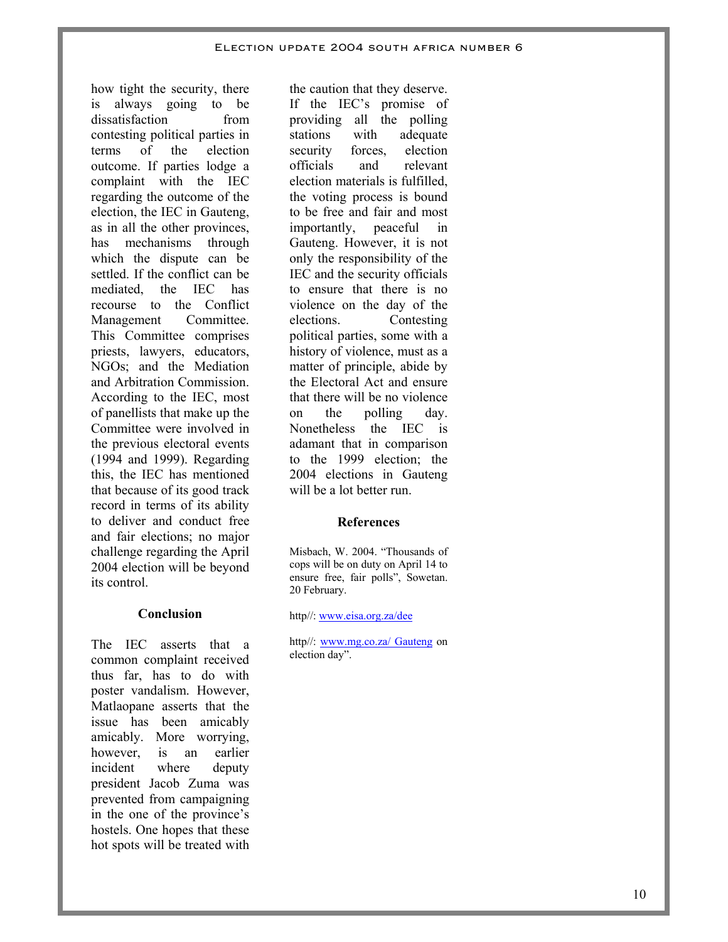how tight the security, there is always going to be dissatisfaction from contesting political parties in terms of the election outcome. If parties lodge a complaint with the IEC regarding the outcome of the election, the IEC in Gauteng, as in all the other provinces, has mechanisms through which the dispute can be settled. If the conflict can be mediated, the IEC has recourse to the Conflict Management Committee. This Committee comprises priests, lawyers, educators, NGOs; and the Mediation and Arbitration Commission. According to the IEC, most of panellists that make up the Committee were involved in the previous electoral events (1994 and 1999). Regarding this, the IEC has mentioned that because of its good track record in terms of its ability to deliver and conduct free and fair elections; no major challenge regarding the April 2004 election will be beyond its control.

#### **Conclusion**

The IEC asserts that a common complaint received thus far, has to do with poster vandalism. However, Matlaopane asserts that the issue has been amicably amicably. More worrying, however, is an earlier incident where deputy president Jacob Zuma was prevented from campaigning in the one of the province's hostels. One hopes that these hot spots will be treated with

the caution that they deserve. If the IEC's promise of providing all the polling stations with adequate security forces, election officials and relevant election materials is fulfilled, the voting process is bound to be free and fair and most importantly, peaceful in Gauteng. However, it is not only the responsibility of the IEC and the security officials to ensure that there is no violence on the day of the elections. Contesting political parties, some with a history of violence, must as a matter of principle, abide by the Electoral Act and ensure that there will be no violence on the polling day. Nonetheless the IEC is adamant that in comparison to the 1999 election; the 2004 elections in Gauteng will be a lot better run.

#### **References**

Misbach, W. 2004. "Thousands of cops will be on duty on April 14 to ensure free, fair polls", Sowetan. 20 February.

http//: www.eisa.org.za/dee

http//: www.mg.co.za/ Gauteng on election day".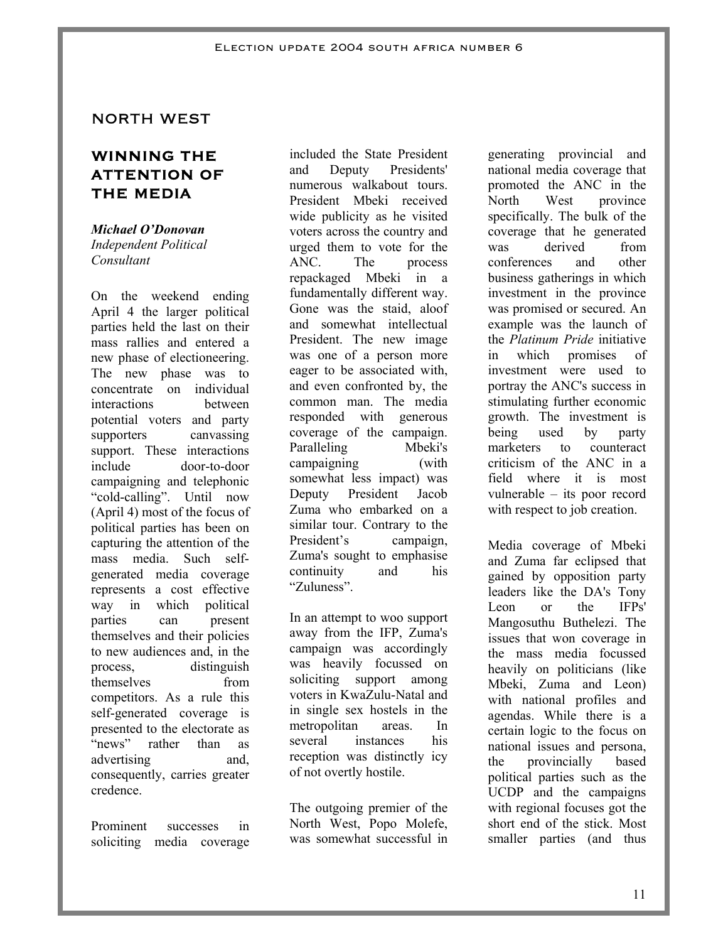### NORTH WEST

# **WINNING THE ATTENTION OF THE MEDIA**

*Michael O'Donovan Independent Political Consultant* 

On the weekend ending April 4 the larger political parties held the last on their mass rallies and entered a new phase of electioneering. The new phase was to concentrate on individual interactions between potential voters and party supporters canvassing support. These interactions include door-to-door campaigning and telephonic "cold-calling". Until now (April 4) most of the focus of political parties has been on capturing the attention of the mass media. Such selfgenerated media coverage represents a cost effective way in which political parties can present themselves and their policies to new audiences and, in the process, distinguish themselves from competitors. As a rule this self-generated coverage is presented to the electorate as "news" rather than as advertising and, consequently, carries greater credence.

Prominent successes in soliciting media coverage included the State President and Deputy Presidents' numerous walkabout tours. President Mbeki received wide publicity as he visited voters across the country and urged them to vote for the ANC. The process repackaged Mbeki in a fundamentally different way. Gone was the staid, aloof and somewhat intellectual President. The new image was one of a person more eager to be associated with, and even confronted by, the common man. The media responded with generous coverage of the campaign. Paralleling Mbeki's campaigning (with somewhat less impact) was Deputy President Jacob Zuma who embarked on a similar tour. Contrary to the President's campaign, Zuma's sought to emphasise continuity and his "Zuluness".

In an attempt to woo support away from the IFP, Zuma's campaign was accordingly was heavily focussed on soliciting support among voters in KwaZulu-Natal and in single sex hostels in the metropolitan areas. In several instances his reception was distinctly icy of not overtly hostile.

The outgoing premier of the North West, Popo Molefe, was somewhat successful in

generating provincial and national media coverage that promoted the ANC in the North West province specifically. The bulk of the coverage that he generated was derived from conferences and other business gatherings in which investment in the province was promised or secured. An example was the launch of the *Platinum Pride* initiative in which promises of investment were used to portray the ANC's success in stimulating further economic growth. The investment is being used by party marketers to counteract criticism of the ANC in a field where it is most vulnerable – its poor record with respect to job creation.

Media coverage of Mbeki and Zuma far eclipsed that gained by opposition party leaders like the DA's Tony Leon or the IFPs' Mangosuthu Buthelezi. The issues that won coverage in the mass media focussed heavily on politicians (like Mbeki, Zuma and Leon) with national profiles and agendas. While there is a certain logic to the focus on national issues and persona, the provincially based political parties such as the UCDP and the campaigns with regional focuses got the short end of the stick. Most smaller parties (and thus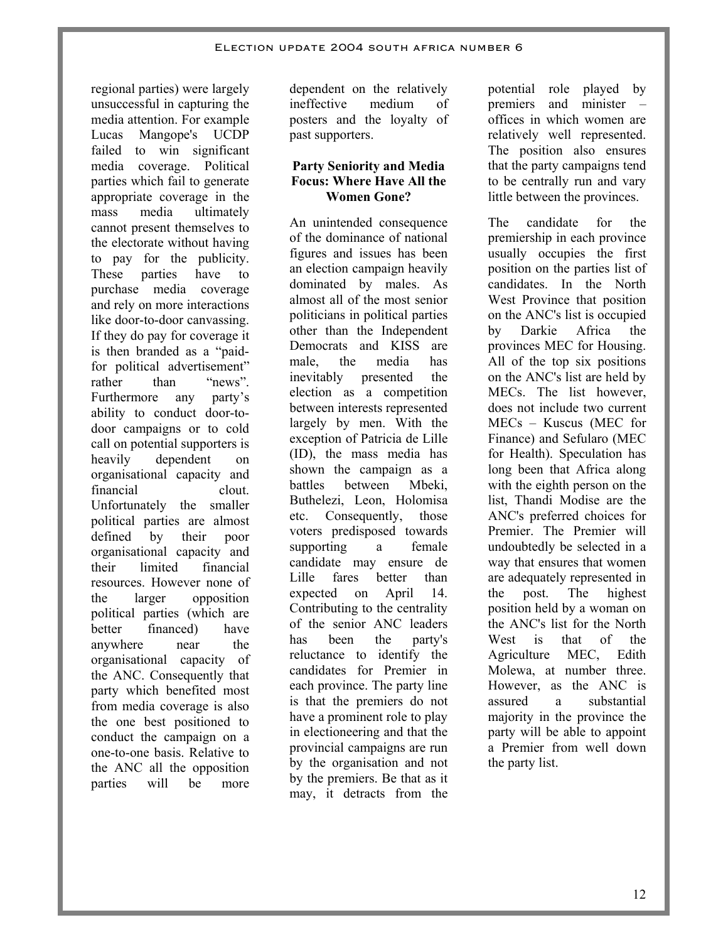regional parties) were largely unsuccessful in capturing the media attention. For example Lucas Mangope's UCDP failed to win significant media coverage. Political parties which fail to generate appropriate coverage in the mass media ultimately cannot present themselves to the electorate without having to pay for the publicity. These parties have to purchase media coverage and rely on more interactions like door-to-door canvassing. If they do pay for coverage it is then branded as a "paidfor political advertisement" rather than "news". Furthermore any party's ability to conduct door-todoor campaigns or to cold call on potential supporters is heavily dependent on organisational capacity and financial clout. Unfortunately the smaller political parties are almost defined by their poor organisational capacity and their limited financial resources. However none of the larger opposition political parties (which are better financed) have anywhere near the organisational capacity of the ANC. Consequently that party which benefited most from media coverage is also the one best positioned to conduct the campaign on a one-to-one basis. Relative to the ANC all the opposition parties will be more

dependent on the relatively ineffective medium of posters and the loyalty of past supporters.

#### **Party Seniority and Media Focus: Where Have All the Women Gone?**

An unintended consequence of the dominance of national figures and issues has been an election campaign heavily dominated by males. As almost all of the most senior politicians in political parties other than the Independent Democrats and KISS are male, the media has inevitably presented the election as a competition between interests represented largely by men. With the exception of Patricia de Lille (ID), the mass media has shown the campaign as a battles between Mbeki, Buthelezi, Leon, Holomisa etc. Consequently, those voters predisposed towards supporting a female candidate may ensure de Lille fares better than expected on April 14. Contributing to the centrality of the senior ANC leaders has been the party's reluctance to identify the candidates for Premier in each province. The party line is that the premiers do not have a prominent role to play in electioneering and that the provincial campaigns are run by the organisation and not by the premiers. Be that as it may, it detracts from the

potential role played by premiers and minister – offices in which women are relatively well represented. The position also ensures that the party campaigns tend to be centrally run and vary little between the provinces.

The candidate for the premiership in each province usually occupies the first position on the parties list of candidates. In the North West Province that position on the ANC's list is occupied by Darkie Africa the provinces MEC for Housing. All of the top six positions on the ANC's list are held by MECs. The list however, does not include two current MECs – Kuscus (MEC for Finance) and Sefularo (MEC for Health). Speculation has long been that Africa along with the eighth person on the list, Thandi Modise are the ANC's preferred choices for Premier. The Premier will undoubtedly be selected in a way that ensures that women are adequately represented in the post. The highest position held by a woman on the ANC's list for the North West is that of the Agriculture MEC, Edith Molewa, at number three. However, as the ANC is assured a substantial majority in the province the party will be able to appoint a Premier from well down the party list.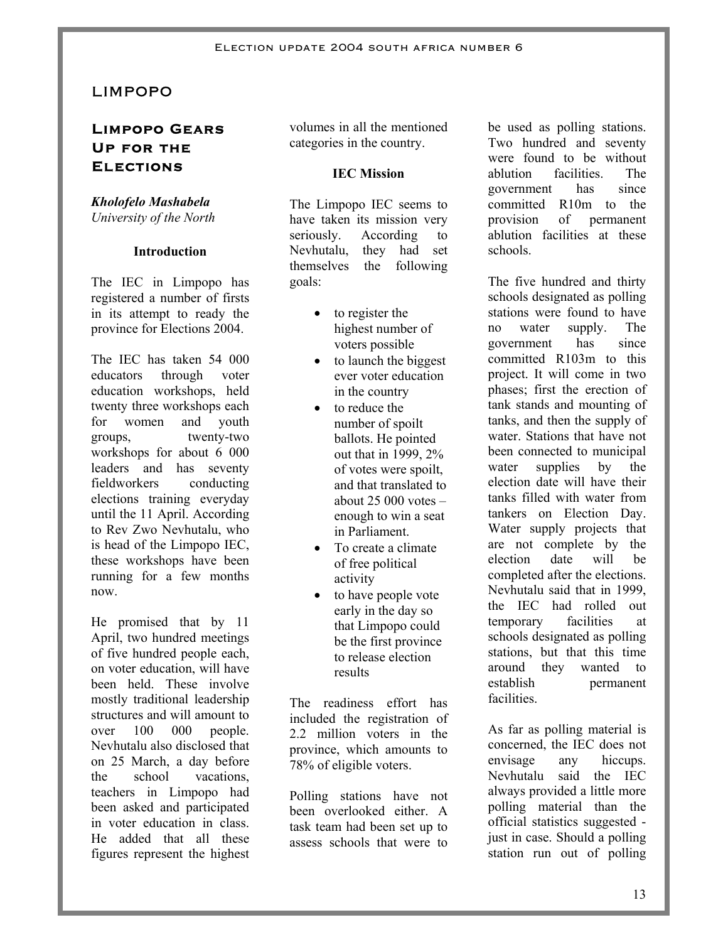# LIMPOPO

# **Limpopo Gears Up for the Elections**

#### *Kholofelo Mashabela* *University of the North*

#### **Introduction**

The IEC in Limpopo has registered a number of firsts in its attempt to ready the province for Elections 2004.

The IEC has taken 54 000 educators through voter education workshops, held twenty three workshops each for women and youth groups, twenty-two workshops for about 6 000 leaders and has seventy fieldworkers conducting elections training everyday until the 11 April. According to Rev Zwo Nevhutalu, who is head of the Limpopo IEC, these workshops have been running for a few months now.

He promised that by 11 April, two hundred meetings of five hundred people each, on voter education, will have been held. These involve mostly traditional leadership structures and will amount to over 100 000 people. Nevhutalu also disclosed that on 25 March, a day before the school vacations, teachers in Limpopo had been asked and participated in voter education in class. He added that all these figures represent the highest

volumes in all the mentioned categories in the country.

#### **IEC Mission**

The Limpopo IEC seems to have taken its mission very seriously. According to Nevhutalu, they had set themselves the following goals:

- to register the highest number of voters possible
- to launch the biggest ever voter education in the country
- to reduce the number of spoilt ballots. He pointed out that in 1999, 2% of votes were spoilt, and that translated to about  $25,000$  votes  $$ enough to win a seat in Parliament.
- To create a climate of free political activity
- to have people vote early in the day so that Limpopo could be the first province to release election results

The readiness effort has included the registration of 2.2 million voters in the province, which amounts to 78% of eligible voters.

Polling stations have not been overlooked either. A task team had been set up to assess schools that were to be used as polling stations. Two hundred and seventy were found to be without ablution facilities. The government has since committed R10m to the provision of permanent ablution facilities at these schools.

The five hundred and thirty schools designated as polling stations were found to have no water supply. The government has since committed R103m to this project. It will come in two phases; first the erection of tank stands and mounting of tanks, and then the supply of water. Stations that have not been connected to municipal water supplies by the election date will have their tanks filled with water from tankers on Election Day. Water supply projects that are not complete by the election date will be completed after the elections. Nevhutalu said that in 1999, the IEC had rolled out temporary facilities at schools designated as polling stations, but that this time around they wanted to establish permanent facilities.

As far as polling material is concerned, the IEC does not envisage any hiccups. Nevhutalu said the IEC always provided a little more polling material than the official statistics suggested just in case. Should a polling station run out of polling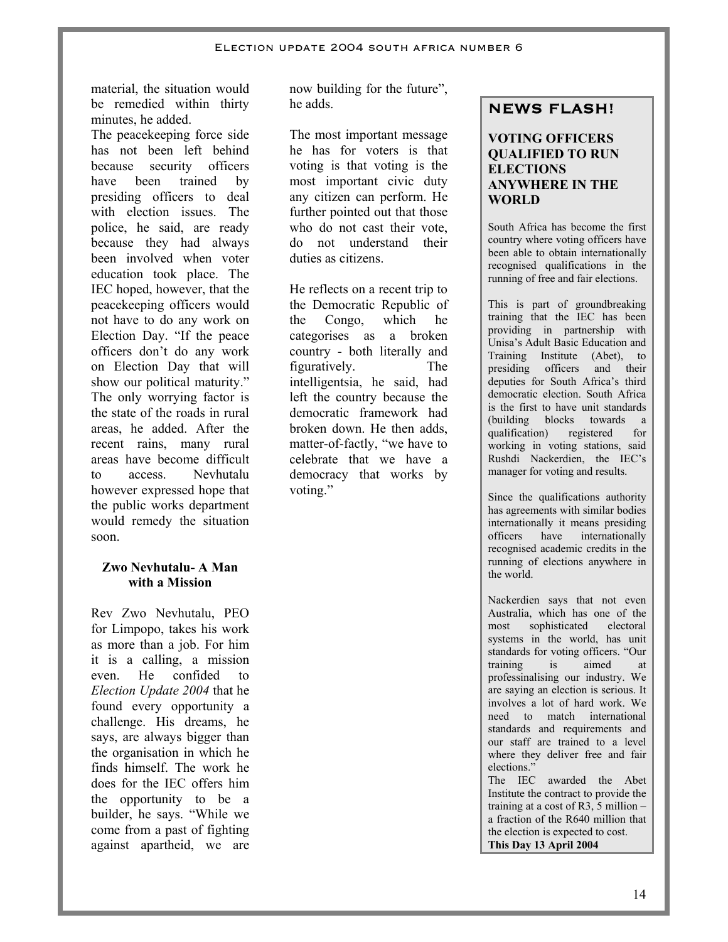material, the situation would be remedied within thirty minutes, he added.

The peacekeeping force side has not been left behind because security officers have been trained by presiding officers to deal with election issues. The police, he said, are ready because they had always been involved when voter education took place. The IEC hoped, however, that the peacekeeping officers would not have to do any work on Election Day. "If the peace officers don't do any work on Election Day that will show our political maturity." The only worrying factor is the state of the roads in rural areas, he added. After the recent rains, many rural areas have become difficult to access. Nevhutalu however expressed hope that the public works department would remedy the situation soon.

#### **Zwo Nevhutalu- A Man with a Mission**

Rev Zwo Nevhutalu, PEO for Limpopo, takes his work as more than a job. For him it is a calling, a mission even. He confided to *Election Update 2004* that he found every opportunity a challenge. His dreams, he says, are always bigger than the organisation in which he finds himself. The work he does for the IEC offers him the opportunity to be a builder, he says. "While we come from a past of fighting against apartheid, we are

now building for the future", he adds.

The most important message he has for voters is that voting is that voting is the most important civic duty any citizen can perform. He further pointed out that those who do not cast their vote, do not understand their duties as citizens.

He reflects on a recent trip to the Democratic Republic of the Congo, which he categorises as a broken country - both literally and figuratively. The intelligentsia, he said, had left the country because the democratic framework had broken down. He then adds, matter-of-factly, "we have to celebrate that we have a democracy that works by voting."

# **NEWS FLASH!**

#### **VOTING OFFICERS QUALIFIED TO RUN ELECTIONS ANYWHERE IN THE WORLD**

South Africa has become the first country where voting officers have been able to obtain internationally recognised qualifications in the running of free and fair elections.

This is part of groundbreaking training that the IEC has been providing in partnership with Unisa's Adult Basic Education and Training Institute (Abet), to presiding officers and their deputies for South Africa's third democratic election. South Africa is the first to have unit standards (building blocks towards a<br>qualification) registered for qualification) registered working in voting stations, said Rushdi Nackerdien, the IEC's manager for voting and results.

Since the qualifications authority has agreements with similar bodies internationally it means presiding officers have internationally recognised academic credits in the running of elections anywhere in the world.

Nackerdien says that not even Australia, which has one of the most sophisticated electoral systems in the world, has unit standards for voting officers. "Our training is aimed at professinalising our industry. We are saying an election is serious. It involves a lot of hard work. We need to match international standards and requirements and our staff are trained to a level where they deliver free and fair elections."

The IEC awarded the Abet Institute the contract to provide the training at a cost of R3, 5 million – a fraction of the R640 million that the election is expected to cost. **This Day 13 April 2004**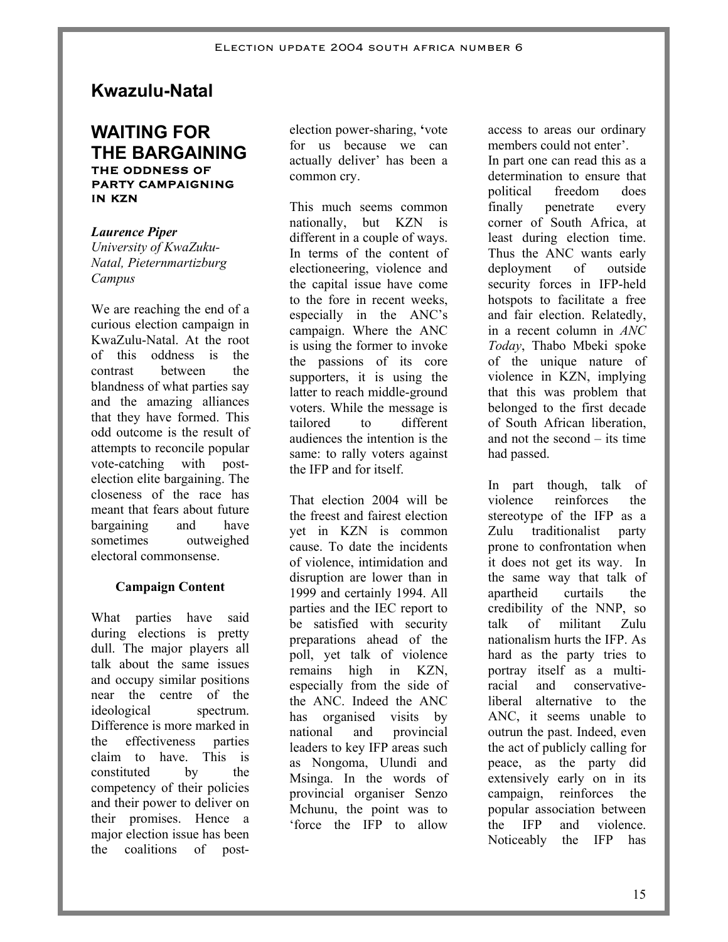# **Kwazulu-Natal**

# **WAITING FOR THE BARGAINING THE ODDNESS OF PARTY CAMPAIGNING IN KZN**

*Laurence Piper University of KwaZuku-Natal, Pieternmartizburg Campus* 

We are reaching the end of a curious election campaign in KwaZulu-Natal. At the root of this oddness is the contrast between the blandness of what parties say and the amazing alliances that they have formed. This odd outcome is the result of attempts to reconcile popular vote-catching with postelection elite bargaining. The closeness of the race has meant that fears about future bargaining and have sometimes outweighed electoral commonsense.

# **Campaign Content**

What parties have said during elections is pretty dull. The major players all talk about the same issues and occupy similar positions near the centre of the ideological spectrum. Difference is more marked in the effectiveness parties claim to have. This is constituted by the competency of their policies and their power to deliver on their promises. Hence a major election issue has been the coalitions of postelection power-sharing, **'**vote for us because we can actually deliver' has been a common cry.

This much seems common nationally, but KZN is different in a couple of ways. In terms of the content of electioneering, violence and the capital issue have come to the fore in recent weeks, especially in the ANC's campaign. Where the ANC is using the former to invoke the passions of its core supporters, it is using the latter to reach middle-ground voters. While the message is tailored to different audiences the intention is the same: to rally voters against the IFP and for itself.

That election 2004 will be the freest and fairest election yet in KZN is common cause. To date the incidents of violence, intimidation and disruption are lower than in 1999 and certainly 1994. All parties and the IEC report to be satisfied with security preparations ahead of the poll, yet talk of violence remains high in KZN, especially from the side of the ANC. Indeed the ANC has organised visits by national and provincial leaders to key IFP areas such as Nongoma, Ulundi and Msinga. In the words of provincial organiser Senzo Mchunu, the point was to 'force the IFP to allow

access to areas our ordinary members could not enter'.

In part one can read this as a determination to ensure that political freedom does finally penetrate every corner of South Africa, at least during election time. Thus the ANC wants early deployment of outside security forces in IFP-held hotspots to facilitate a free and fair election. Relatedly, in a recent column in *ANC Today*, Thabo Mbeki spoke of the unique nature of violence in KZN, implying that this was problem that belonged to the first decade of South African liberation, and not the second – its time had passed.

In part though, talk of violence reinforces the stereotype of the IFP as a Zulu traditionalist party prone to confrontation when it does not get its way. In the same way that talk of apartheid curtails the credibility of the NNP, so talk of militant Zulu nationalism hurts the IFP. As hard as the party tries to portray itself as a multiracial and conservativeliberal alternative to the ANC, it seems unable to outrun the past. Indeed, even the act of publicly calling for peace, as the party did extensively early on in its campaign, reinforces the popular association between the IFP and violence. Noticeably the IFP has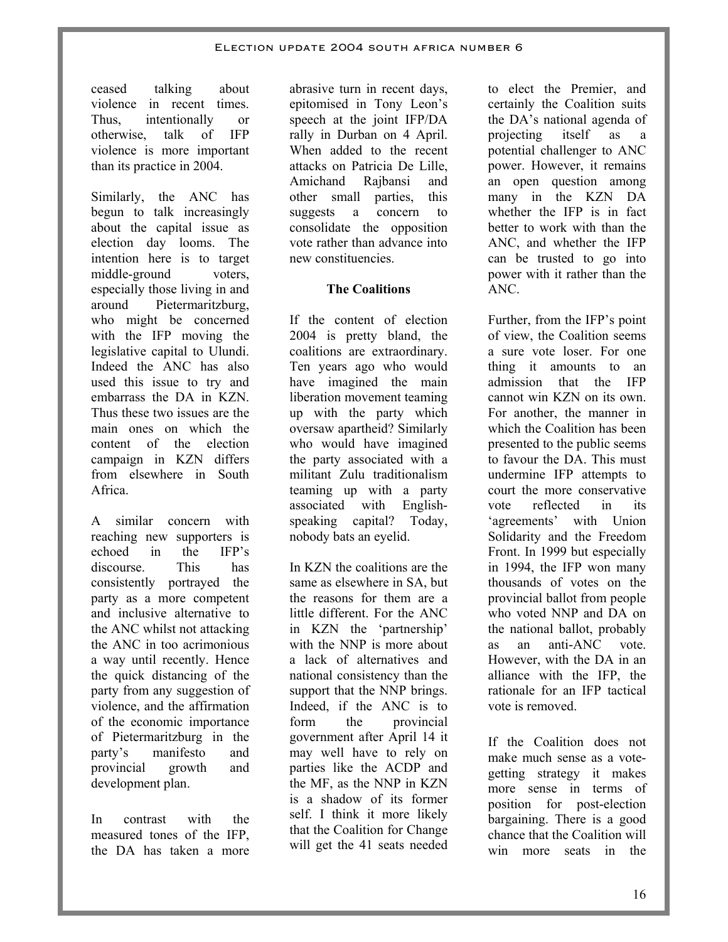ceased talking about violence in recent times. Thus, intentionally or otherwise, talk of IFP violence is more important than its practice in 2004.

Similarly, the ANC has begun to talk increasingly about the capital issue as election day looms. The intention here is to target middle-ground voters, especially those living in and around Pietermaritzburg, who might be concerned with the IFP moving the legislative capital to Ulundi. Indeed the ANC has also used this issue to try and embarrass the DA in KZN. Thus these two issues are the main ones on which the content of the election campaign in KZN differs from elsewhere in South Africa.

A similar concern with reaching new supporters is echoed in the IFP's discourse. This has consistently portrayed the party as a more competent and inclusive alternative to the ANC whilst not attacking the ANC in too acrimonious a way until recently. Hence the quick distancing of the party from any suggestion of violence, and the affirmation of the economic importance of Pietermaritzburg in the party's manifesto and provincial growth and development plan.

In contrast with the measured tones of the IFP the DA has taken a more

abrasive turn in recent days, epitomised in Tony Leon's speech at the joint IFP/DA rally in Durban on 4 April. When added to the recent attacks on Patricia De Lille, Amichand Rajbansi and other small parties, this suggests a concern to consolidate the opposition vote rather than advance into new constituencies.

### **The Coalitions**

If the content of election 2004 is pretty bland, the coalitions are extraordinary. Ten years ago who would have imagined the main liberation movement teaming up with the party which oversaw apartheid? Similarly who would have imagined the party associated with a militant Zulu traditionalism teaming up with a party associated with Englishspeaking capital? Today, nobody bats an eyelid.

In KZN the coalitions are the same as elsewhere in SA, but the reasons for them are a little different. For the ANC in KZN the 'partnership' with the NNP is more about a lack of alternatives and national consistency than the support that the NNP brings. Indeed, if the ANC is to form the provincial government after April 14 it may well have to rely on parties like the ACDP and the MF, as the NNP in KZN is a shadow of its former self. I think it more likely that the Coalition for Change will get the 41 seats needed

to elect the Premier, and certainly the Coalition suits the DA's national agenda of projecting itself as a potential challenger to ANC power. However, it remains an open question among many in the KZN DA whether the IFP is in fact better to work with than the ANC, and whether the IFP can be trusted to go into power with it rather than the ANC.

Further, from the IFP's point of view, the Coalition seems a sure vote loser. For one thing it amounts to an admission that the IFP cannot win KZN on its own. For another, the manner in which the Coalition has been presented to the public seems to favour the DA. This must undermine IFP attempts to court the more conservative vote reflected in its 'agreements' with Union Solidarity and the Freedom Front. In 1999 but especially in 1994, the IFP won many thousands of votes on the provincial ballot from people who voted NNP and DA on the national ballot, probably as an anti-ANC vote. However, with the DA in an alliance with the IFP, the rationale for an IFP tactical vote is removed.

If the Coalition does not make much sense as a votegetting strategy it makes more sense in terms of position for post-election bargaining. There is a good chance that the Coalition will win more seats in the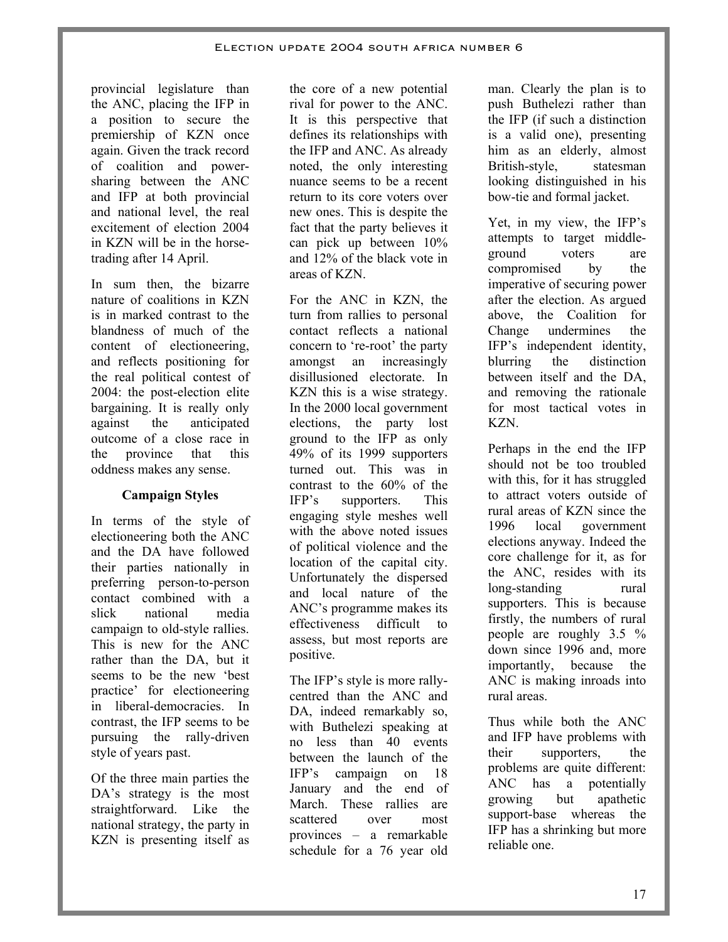provincial legislature than the ANC, placing the IFP in a position to secure the premiership of KZN once again. Given the track record of coalition and powersharing between the ANC and IFP at both provincial and national level, the real excitement of election 2004 in KZN will be in the horsetrading after 14 April.

In sum then, the bizarre nature of coalitions in KZN is in marked contrast to the blandness of much of the content of electioneering, and reflects positioning for the real political contest of 2004: the post-election elite bargaining. It is really only against the anticipated outcome of a close race in the province that this oddness makes any sense.

### **Campaign Styles**

In terms of the style of electioneering both the ANC and the DA have followed their parties nationally in preferring person-to-person contact combined with a slick national media campaign to old-style rallies. This is new for the ANC rather than the DA, but it seems to be the new 'best practice' for electioneering in liberal-democracies. In contrast, the IFP seems to be pursuing the rally-driven style of years past.

Of the three main parties the DA's strategy is the most straightforward. Like the national strategy, the party in KZN is presenting itself as

the core of a new potential rival for power to the ANC. It is this perspective that defines its relationships with the IFP and ANC. As already noted, the only interesting nuance seems to be a recent return to its core voters over new ones. This is despite the fact that the party believes it can pick up between 10% and 12% of the black vote in areas of KZN.

For the ANC in KZN, the turn from rallies to personal contact reflects a national concern to 're-root' the party amongst an increasingly disillusioned electorate. In KZN this is a wise strategy. In the 2000 local government elections, the party lost ground to the IFP as only 49% of its 1999 supporters turned out. This was in contrast to the 60% of the IFP's supporters. This engaging style meshes well with the above noted issues of political violence and the location of the capital city. Unfortunately the dispersed and local nature of the ANC's programme makes its effectiveness difficult to assess, but most reports are positive.

The IFP's style is more rallycentred than the ANC and DA, indeed remarkably so, with Buthelezi speaking at no less than 40 events between the launch of the IFP's campaign on 18 January and the end of March. These rallies are scattered over most provinces – a remarkable schedule for a 76 year old

man. Clearly the plan is to push Buthelezi rather than the IFP (if such a distinction is a valid one), presenting him as an elderly, almost British-style, statesman looking distinguished in his bow-tie and formal jacket.

Yet, in my view, the IFP's attempts to target middleground voters are compromised by the imperative of securing power after the election. As argued above, the Coalition for Change undermines the IFP's independent identity, blurring the distinction between itself and the DA, and removing the rationale for most tactical votes in KZN.

Perhaps in the end the IFP should not be too troubled with this, for it has struggled to attract voters outside of rural areas of KZN since the 1996 local government elections anyway. Indeed the core challenge for it, as for the ANC, resides with its long-standing rural supporters. This is because firstly, the numbers of rural people are roughly 3.5 % down since 1996 and, more importantly, because the ANC is making inroads into rural areas.

Thus while both the ANC and IFP have problems with their supporters, the problems are quite different: ANC has a potentially growing but apathetic support-base whereas the IFP has a shrinking but more reliable one.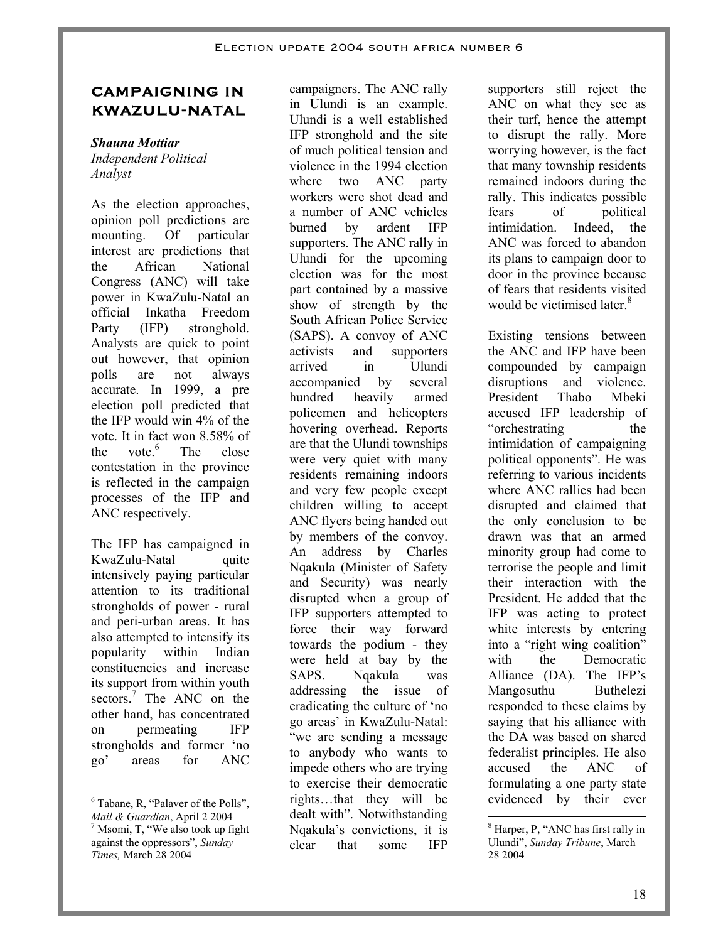# **CAMPAIGNING IN KWAZULU-NATAL**

#### *Shauna Mottiar*

*Independent Political Analyst* 

As the election approaches, opinion poll predictions are mounting. Of particular interest are predictions that the African National Congress (ANC) will take power in KwaZulu-Natal an official Inkatha Freedom Party (IFP) stronghold. Analysts are quick to point out however, that opinion polls are not always accurate. In 1999, a pre election poll predicted that the IFP would win 4% of the vote. It in fact won 8.58% of the vote. $6$  The close contestation in the province is reflected in the campaign processes of the IFP and ANC respectively.

The IFP has campaigned in KwaZulu-Natal quite intensively paying particular attention to its traditional strongholds of power - rural and peri-urban areas. It has also attempted to intensify its popularity within Indian constituencies and increase its support from within youth sectors.<sup>7</sup> The ANC on the other hand, has concentrated on permeating IFP strongholds and former 'no go' areas for ANC

campaigners. The ANC rally in Ulundi is an example. Ulundi is a well established IFP stronghold and the site of much political tension and violence in the 1994 election where two ANC party workers were shot dead and a number of ANC vehicles burned by ardent IFP supporters. The ANC rally in Ulundi for the upcoming election was for the most part contained by a massive show of strength by the South African Police Service (SAPS). A convoy of ANC activists and supporters arrived in Ulundi accompanied by several hundred heavily armed policemen and helicopters hovering overhead. Reports are that the Ulundi townships were very quiet with many residents remaining indoors and very few people except children willing to accept ANC flyers being handed out by members of the convoy. An address by Charles Nqakula (Minister of Safety and Security) was nearly disrupted when a group of IFP supporters attempted to force their way forward towards the podium - they were held at bay by the SAPS. Nqakula was addressing the issue of eradicating the culture of 'no go areas' in KwaZulu-Natal: "we are sending a message to anybody who wants to impede others who are trying to exercise their democratic rights…that they will be dealt with". Notwithstanding Nqakula's convictions, it is clear that some IFP

supporters still reject the ANC on what they see as their turf, hence the attempt to disrupt the rally. More worrying however, is the fact that many township residents remained indoors during the rally. This indicates possible fears of political intimidation. Indeed, the ANC was forced to abandon its plans to campaign door to door in the province because of fears that residents visited would be victimised later.<sup>8</sup>

Existing tensions between the ANC and IFP have been compounded by campaign disruptions and violence. President Thabo Mbeki accused IFP leadership of "orchestrating the intimidation of campaigning political opponents". He was referring to various incidents where ANC rallies had been disrupted and claimed that the only conclusion to be drawn was that an armed minority group had come to terrorise the people and limit their interaction with the President. He added that the IFP was acting to protect white interests by entering into a "right wing coalition" with the Democratic Alliance (DA). The IFP's Mangosuthu Buthelezi responded to these claims by saying that his alliance with the DA was based on shared federalist principles. He also accused the ANC of formulating a one party state evidenced by their ever

8 Harper, P, "ANC has first rally in Ulundi", *Sunday Tribune*, March 28 2004

-

 $\overline{a}$ <sup>6</sup> Tabane, R, "Palaver of the Polls", *Mail & Guardian, April 2 2004*  Msomi, T, "We also took up fight against the oppressors", *Sunday Times,* March 28 2004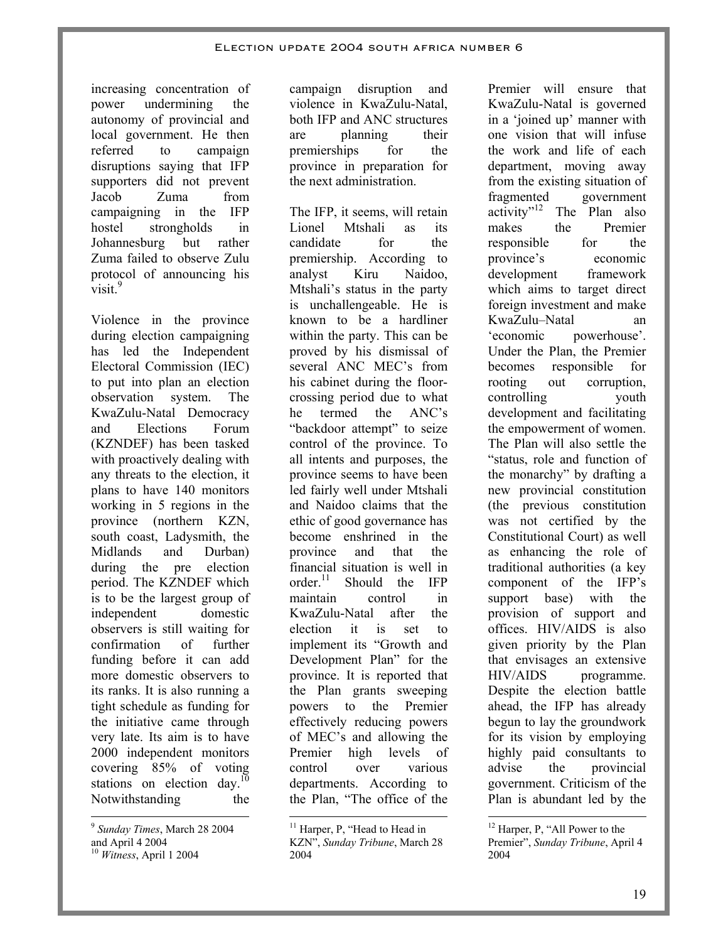increasing concentration of power undermining the autonomy of provincial and local government. He then referred to campaign disruptions saying that IFP supporters did not prevent Jacob Zuma from campaigning in the IFP hostel strongholds in Johannesburg but rather Zuma failed to observe Zulu protocol of announcing his visit<sup>9</sup>

Violence in the province during election campaigning has led the Independent Electoral Commission (IEC) to put into plan an election observation system. The KwaZulu-Natal Democracy and Elections Forum (KZNDEF) has been tasked with proactively dealing with any threats to the election, it plans to have 140 monitors working in 5 regions in the province (northern KZN, south coast, Ladysmith, the Midlands and Durban) during the pre election period. The KZNDEF which is to be the largest group of independent domestic observers is still waiting for confirmation of further funding before it can add more domestic observers to its ranks. It is also running a tight schedule as funding for the initiative came through very late. Its aim is to have 2000 independent monitors covering 85% of voting stations on election day.<sup>10</sup> Notwithstanding the

campaign disruption and violence in KwaZulu-Natal, both IFP and ANC structures are planning their premierships for the province in preparation for the next administration.

The IFP, it seems, will retain Lionel Mtshali as its candidate for the premiership. According to analyst Kiru Naidoo, Mtshali's status in the party is unchallengeable. He is known to be a hardliner within the party. This can be proved by his dismissal of several ANC MEC's from his cabinet during the floorcrossing period due to what he termed the ANC's "backdoor attempt" to seize control of the province. To all intents and purposes, the province seems to have been led fairly well under Mtshali and Naidoo claims that the ethic of good governance has become enshrined in the province and that the financial situation is well in order. $^{11}$  Should the IFP maintain control in KwaZulu-Natal after the election it is set to implement its "Growth and Development Plan" for the province. It is reported that the Plan grants sweeping powers to the Premier effectively reducing powers of MEC's and allowing the Premier high levels of control over various departments. According to the Plan, "The office of the

-

Premier will ensure that KwaZulu-Natal is governed in a 'joined up' manner with one vision that will infuse the work and life of each department, moving away from the existing situation of fragmented government<br>activity"<sup>12</sup> The Plan also The Plan also makes the Premier responsible for the province's economic development framework which aims to target direct foreign investment and make KwaZulu–Natal an 'economic powerhouse'. Under the Plan, the Premier becomes responsible for rooting out corruption, controlling youth development and facilitating the empowerment of women. The Plan will also settle the "status, role and function of the monarchy" by drafting a new provincial constitution (the previous constitution was not certified by the Constitutional Court) as well as enhancing the role of traditional authorities (a key component of the IFP's support base) with the provision of support and offices. HIV/AIDS is also given priority by the Plan that envisages an extensive HIV/AIDS programme. Despite the election battle ahead, the IFP has already begun to lay the groundwork for its vision by employing highly paid consultants to advise the provincial government. Criticism of the Plan is abundant led by the

 $\overline{a}$ <sup>9</sup> *Sunday Times*, March 28 2004 and April 4 2004

<sup>10</sup> *Witness*, April 1 2004

<sup>&</sup>lt;sup>11</sup> Harper, P, "Head to Head in KZN", *Sunday Tribune*, March 28 2004

<sup>-</sup><sup>12</sup> Harper, P, "All Power to the Premier", *Sunday Tribune*, April 4 2004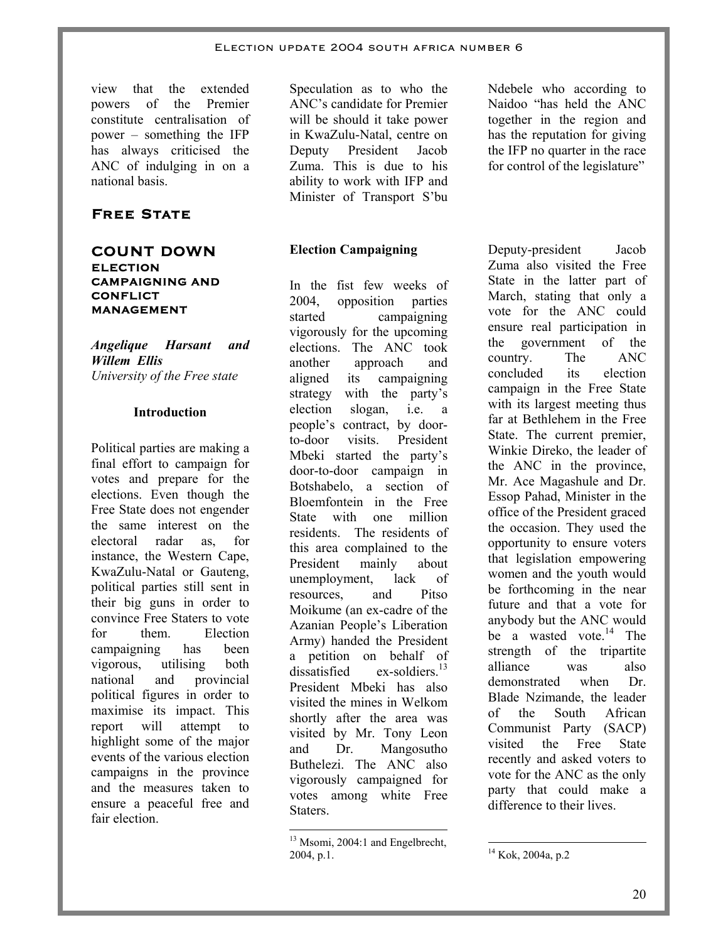view that the extended powers of the Premier constitute centralisation of power – something the IFP has always criticised the ANC of indulging in on a national basis.

### **Free State**

# **COUNT DOWN ELECTION CAMPAIGNING AND CONFLICT MANAGEMENT**

*Angelique Harsant and Willem Ellis University of the Free state* 

#### **Introduction**

Political parties are making a final effort to campaign for votes and prepare for the elections. Even though the Free State does not engender the same interest on the electoral radar as for instance, the Western Cape, KwaZulu-Natal or Gauteng, political parties still sent in their big guns in order to convince Free Staters to vote for them. Election campaigning has been vigorous, utilising both national and provincial political figures in order to maximise its impact. This report will attempt to highlight some of the major events of the various election campaigns in the province and the measures taken to ensure a peaceful free and fair election.

Speculation as to who the ANC's candidate for Premier will be should it take power in KwaZulu-Natal, centre on Deputy President Jacob Zuma. This is due to his ability to work with IFP and Minister of Transport S'bu

#### **Election Campaigning**

In the fist few weeks of 2004, opposition parties started campaigning vigorously for the upcoming elections. The ANC took another approach and aligned its campaigning strategy with the party's election slogan, i.e. a people's contract, by doorto-door visits. President Mbeki started the party's door-to-door campaign in Botshabelo, a section of Bloemfontein in the Free State with one million residents. The residents of this area complained to the President mainly about unemployment, lack of resources, and Pitso Moikume (an ex-cadre of the Azanian People's Liberation Army) handed the President a petition on behalf of  $dissatisfied$  ex-soldiers<sup>13</sup> President Mbeki has also visited the mines in Welkom shortly after the area was visited by Mr. Tony Leon and Dr. Mangosutho Buthelezi. The ANC also vigorously campaigned for votes among white Free Staters.

-

Ndebele who according to Naidoo "has held the ANC together in the region and has the reputation for giving the IFP no quarter in the race for control of the legislature"

Deputy-president Jacob Zuma also visited the Free State in the latter part of March, stating that only a vote for the ANC could ensure real participation in the government of the country. The ANC concluded its election campaign in the Free State with its largest meeting thus far at Bethlehem in the Free State. The current premier, Winkie Direko, the leader of the ANC in the province, Mr. Ace Magashule and Dr. Essop Pahad, Minister in the office of the President graced the occasion. They used the opportunity to ensure voters that legislation empowering women and the youth would be forthcoming in the near future and that a vote for anybody but the ANC would be a wasted vote. $14$  The strength of the tripartite alliance was also demonstrated when Dr. Blade Nzimande, the leader of the South African Communist Party (SACP) visited the Free State recently and asked voters to vote for the ANC as the only party that could make a difference to their lives.

<sup>&</sup>lt;sup>13</sup> Msomi, 2004:1 and Engelbrecht, 2004, p.1.

<sup>-</sup><sup>14</sup> Kok, 2004a, p.2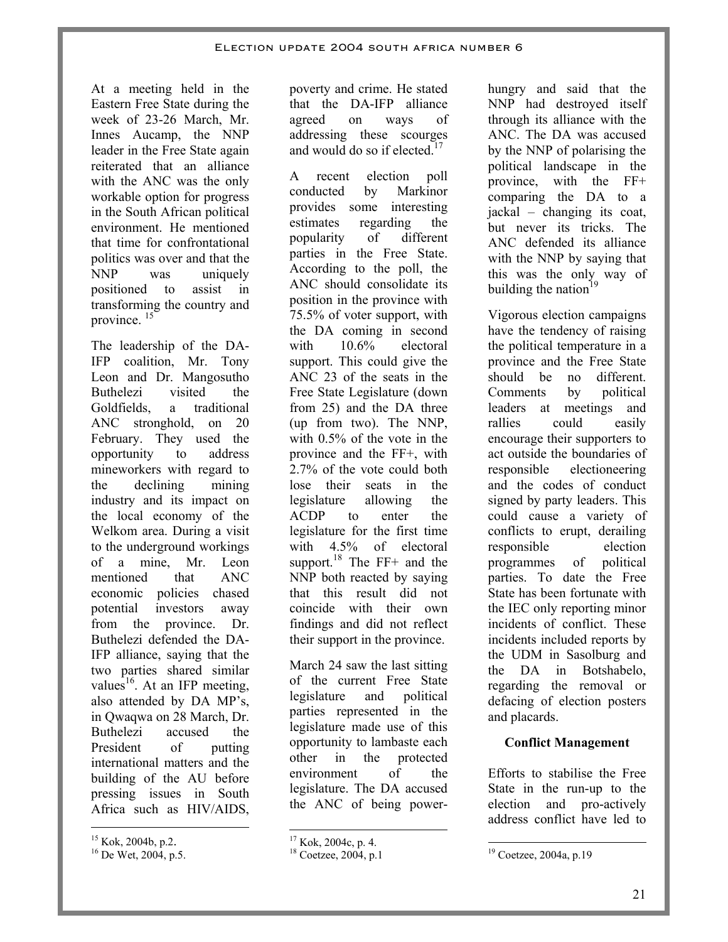At a meeting held in the Eastern Free State during the week of 23-26 March, Mr. Innes Aucamp, the NNP leader in the Free State again reiterated that an alliance with the ANC was the only workable option for progress in the South African political environment. He mentioned that time for confrontational politics was over and that the NNP was uniquely positioned to assist in transforming the country and province. <sup>15</sup>

The leadership of the DA-IFP coalition, Mr. Tony Leon and Dr. Mangosutho Buthelezi visited the Goldfields, a traditional ANC stronghold, on 20 February. They used the opportunity to address mineworkers with regard to the declining mining industry and its impact on the local economy of the Welkom area. During a visit to the underground workings of a mine, Mr. Leon mentioned that ANC economic policies chased potential investors away from the province. Dr. Buthelezi defended the DA-IFP alliance, saying that the two parties shared similar values<sup>16</sup>. At an IFP meeting, also attended by DA MP's, in Qwaqwa on 28 March, Dr. Buthelezi accused the President of putting international matters and the building of the AU before pressing issues in South Africa such as HIV/AIDS,  $\overline{a}$ 

poverty and crime. He stated that the DA-IFP alliance agreed on ways of addressing these scourges and would do so if elected. $17$ 

A recent election poll conducted by Markinor provides some interesting estimates regarding the popularity of different parties in the Free State. According to the poll, the ANC should consolidate its position in the province with 75.5% of voter support, with the DA coming in second with  $10.6\%$  electoral support. This could give the ANC 23 of the seats in the Free State Legislature (down from 25) and the DA three (up from two). The NNP, with 0.5% of the vote in the province and the FF+, with 2.7% of the vote could both lose their seats in the legislature allowing the ACDP to enter the legislature for the first time with 4.5% of electoral support.<sup>18</sup> The  $FF+$  and the NNP both reacted by saying that this result did not coincide with their own findings and did not reflect their support in the province.

March 24 saw the last sitting of the current Free State legislature and political parties represented in the legislature made use of this opportunity to lambaste each other in the protected environment of the legislature. The DA accused the ANC of being power-

-

hungry and said that the NNP had destroyed itself through its alliance with the ANC. The DA was accused by the NNP of polarising the political landscape in the province, with the FF+ comparing the DA to a jackal – changing its coat, but never its tricks. The ANC defended its alliance with the NNP by saying that this was the only way of building the nation $19$ 

Vigorous election campaigns have the tendency of raising the political temperature in a province and the Free State should be no different. Comments by political leaders at meetings and rallies could easily encourage their supporters to act outside the boundaries of responsible electioneering and the codes of conduct signed by party leaders. This could cause a variety of conflicts to erupt, derailing responsible election programmes of political parties. To date the Free State has been fortunate with the IEC only reporting minor incidents of conflict. These incidents included reports by the UDM in Sasolburg and the DA in Botshabelo, regarding the removal or defacing of election posters and placards.

### **Conflict Management**

Efforts to stabilise the Free State in the run-up to the election and pro-actively address conflict have led to

<sup>19</sup> Coetzee, 2004a, p.19

-

21

<sup>&</sup>lt;sup>15</sup> Kok, 2004b, p.2.<br><sup>16</sup> De Wet, 2004, p.5.

 $17$  Kok, 2004c, p. 4.

<sup>&</sup>lt;sup>18</sup> Coetzee, 2004, p.1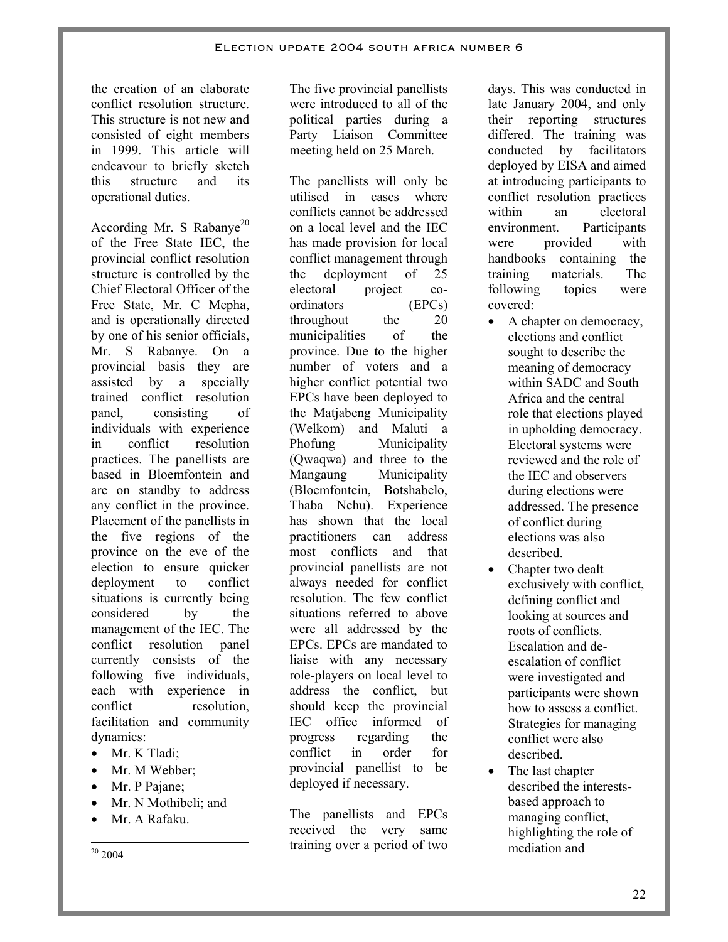the creation of an elaborate conflict resolution structure. This structure is not new and consisted of eight members in 1999. This article will endeavour to briefly sketch this structure and its operational duties.

According Mr. S Rabanye<sup>20</sup> of the Free State IEC, the provincial conflict resolution structure is controlled by the Chief Electoral Officer of the Free State, Mr. C Mepha, and is operationally directed by one of his senior officials, Mr. S Rabanye. On a provincial basis they are assisted by a specially trained conflict resolution panel, consisting of individuals with experience in conflict resolution practices. The panellists are based in Bloemfontein and are on standby to address any conflict in the province. Placement of the panellists in the five regions of the province on the eve of the election to ensure quicker deployment to conflict situations is currently being considered by the management of the IEC. The conflict resolution panel currently consists of the following five individuals, each with experience in conflict resolution, facilitation and community dynamics:

- Mr. K Tladi;
- Mr. M Webber:
- Mr. P Pajane;
- Mr. N Mothibeli; and
- Mr. A Rafaku.
- $\overline{a}$  $2004$

The five provincial panellists were introduced to all of the political parties during a Party Liaison Committee meeting held on 25 March.

The panellists will only be utilised in cases where conflicts cannot be addressed on a local level and the IEC has made provision for local conflict management through the deployment of 25 electoral project coordinators (EPCs) throughout the 20 municipalities of the province. Due to the higher number of voters and a higher conflict potential two EPCs have been deployed to the Matjabeng Municipality (Welkom) and Maluti a Phofung Municipality (Qwaqwa) and three to the Mangaung Municipality (Bloemfontein, Botshabelo, Thaba Nchu). Experience has shown that the local practitioners can address most conflicts and that provincial panellists are not always needed for conflict resolution. The few conflict situations referred to above were all addressed by the EPCs. EPCs are mandated to liaise with any necessary role-players on local level to address the conflict, but should keep the provincial IEC office informed of progress regarding the conflict in order for provincial panellist to be deployed if necessary.

The panellists and EPCs received the very same training over a period of two days. This was conducted in late January 2004, and only their reporting structures differed. The training was conducted by facilitators deployed by EISA and aimed at introducing participants to conflict resolution practices within an electoral environment. Participants were provided with handbooks containing the training materials. The following topics were covered:

- A chapter on democracy, elections and conflict sought to describe the meaning of democracy within SADC and South Africa and the central role that elections played in upholding democracy. Electoral systems were reviewed and the role of the IEC and observers during elections were addressed. The presence of conflict during elections was also described.
- Chapter two dealt exclusively with conflict, defining conflict and looking at sources and roots of conflicts. Escalation and deescalation of conflict were investigated and participants were shown how to assess a conflict. Strategies for managing conflict were also described.
- The last chapter described the interestsbased approach to managing conflict, highlighting the role of mediation and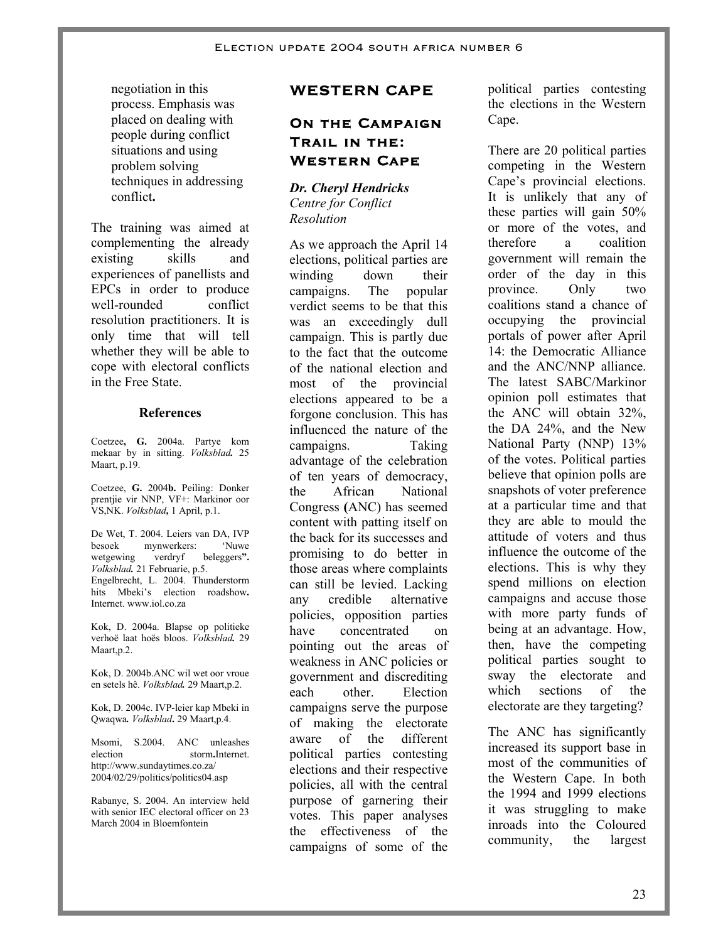negotiation in this process. Emphasis was placed on dealing with people during conflict situations and using problem solving techniques in addressing conflict**.** 

The training was aimed at complementing the already existing skills and experiences of panellists and EPCs in order to produce well-rounded conflict resolution practitioners. It is only time that will tell whether they will be able to cope with electoral conflicts in the Free State.

#### **References**

Coetzee**, G.** 2004a. Partye kom mekaar by in sitting. *Volksblad.* 25 Maart, p.19.

Coetzee, **G.** 2004**b.** Peiling: Donker prentjie vir NNP, VF+: Markinor oor VS,NK. *Volksblad,* 1 April, p.1.

De Wet, T. 2004. Leiers van DA, IVP besoek mynwerkers: 'Nuwe wetgewing verdryf beleggers**".**  *Volksblad.* 21 Februarie, p.5. Engelbrecht, L. 2004. Thunderstorm hits Mbeki's election roadshow**.**  Internet. www.iol.co.za

Kok, D. 2004a. Blapse op politieke verhoë laat hoës bloos. *Volksblad.* 29 Maart,p.2.

Kok, D. 2004b.ANC wil wet oor vroue en setels hê. *Volksblad.* 29 Maart,p.2.

Kok, D. 2004c. IVP-leier kap Mbeki in Qwaqwa*. Volksblad***.** 29 Maart,p.4.

Msomi, S.2004. ANC unleashes election storm**.**Internet. http://www.sundaytimes.co.za/ 2004/02/29/politics/politics04.asp

Rabanye, S. 2004. An interview held with senior IEC electoral officer on 23 March 2004 in Bloemfontein

# **WESTERN CAPE**

# **ON THE CAMPAIGN Trail in the: Western Cape**

*Dr. Cheryl Hendricks Centre for Conflict Resolution* 

As we approach the April 14 elections, political parties are winding down their campaigns. The popular verdict seems to be that this was an exceedingly dull campaign. This is partly due to the fact that the outcome of the national election and most of the provincial elections appeared to be a forgone conclusion. This has influenced the nature of the campaigns. Taking advantage of the celebration of ten years of democracy, the African National Congress **(**ANC) has seemed content with patting itself on the back for its successes and promising to do better in those areas where complaints can still be levied. Lacking any credible alternative policies, opposition parties have concentrated on pointing out the areas of weakness in ANC policies or government and discrediting each other. Election campaigns serve the purpose of making the electorate aware of the different political parties contesting elections and their respective policies, all with the central purpose of garnering their votes. This paper analyses the effectiveness of the campaigns of some of the

political parties contesting the elections in the Western Cape.

There are 20 political parties competing in the Western Cape's provincial elections. It is unlikely that any of these parties will gain 50% or more of the votes, and therefore a coalition government will remain the order of the day in this province. Only two coalitions stand a chance of occupying the provincial portals of power after April 14: the Democratic Alliance and the ANC/NNP alliance. The latest SABC/Markinor opinion poll estimates that the ANC will obtain 32%, the DA 24%, and the New National Party (NNP) 13% of the votes. Political parties believe that opinion polls are snapshots of voter preference at a particular time and that they are able to mould the attitude of voters and thus influence the outcome of the elections. This is why they spend millions on election campaigns and accuse those with more party funds of being at an advantage. How, then, have the competing political parties sought to sway the electorate and which sections of the electorate are they targeting?

The ANC has significantly increased its support base in most of the communities of the Western Cape. In both the 1994 and 1999 elections it was struggling to make inroads into the Coloured community, the largest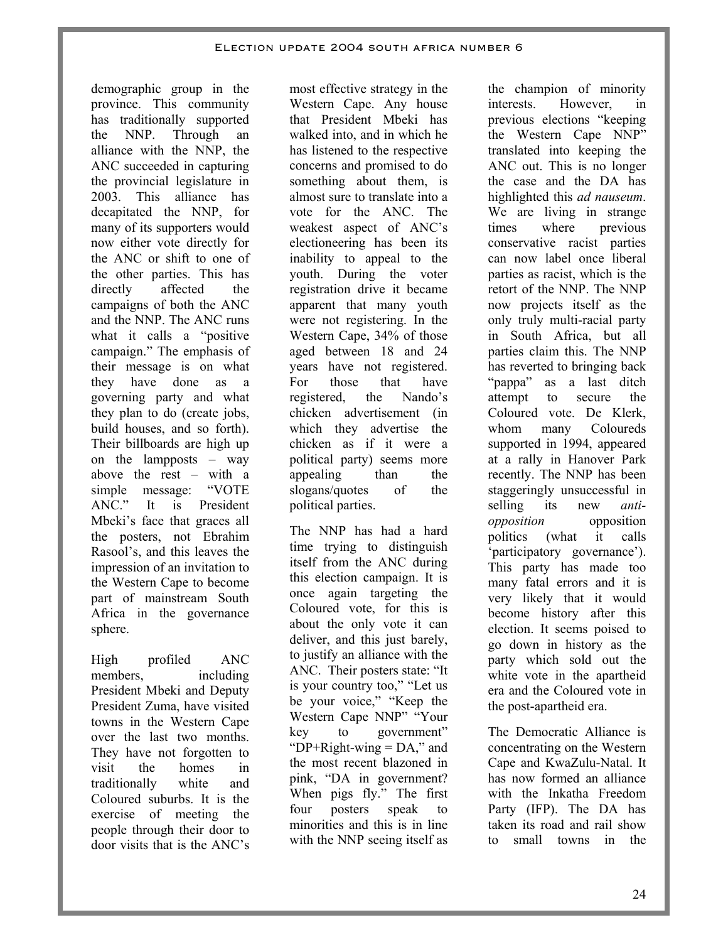demographic group in the province. This community has traditionally supported the NNP. Through an alliance with the NNP, the ANC succeeded in capturing the provincial legislature in 2003. This alliance has decapitated the NNP, for many of its supporters would now either vote directly for the ANC or shift to one of the other parties. This has directly affected the campaigns of both the ANC and the NNP. The ANC runs what it calls a "positive" campaign." The emphasis of their message is on what they have done as a governing party and what they plan to do (create jobs, build houses, and so forth). Their billboards are high up on the lampposts – way above the rest – with a simple message: "VOTE ANC." It is President Mbeki's face that graces all the posters, not Ebrahim Rasool's, and this leaves the impression of an invitation to the Western Cape to become part of mainstream South Africa in the governance sphere.

High profiled ANC members, including President Mbeki and Deputy President Zuma, have visited towns in the Western Cape over the last two months. They have not forgotten to visit the homes in traditionally white and Coloured suburbs. It is the exercise of meeting the people through their door to door visits that is the ANC's

most effective strategy in the Western Cape. Any house that President Mbeki has walked into, and in which he has listened to the respective concerns and promised to do something about them, is almost sure to translate into a vote for the ANC. The weakest aspect of ANC's electioneering has been its inability to appeal to the youth. During the voter registration drive it became apparent that many youth were not registering. In the Western Cape, 34% of those aged between 18 and 24 years have not registered. For those that have registered, the Nando's chicken advertisement (in which they advertise the chicken as if it were a political party) seems more appealing than the slogans/quotes of the political parties.

The NNP has had a hard time trying to distinguish itself from the ANC during this election campaign. It is once again targeting the Coloured vote, for this is about the only vote it can deliver, and this just barely, to justify an alliance with the ANC. Their posters state: "It is your country too," "Let us be your voice," "Keep the Western Cape NNP" "Your key to government" " $DP+Right\text{-}wing = DA$ ," and the most recent blazoned in pink, "DA in government? When pigs fly." The first four posters speak to minorities and this is in line with the NNP seeing itself as

the champion of minority interests. However, in previous elections "keeping the Western Cape NNP" translated into keeping the ANC out. This is no longer the case and the DA has highlighted this *ad nauseum*. We are living in strange times where previous conservative racist parties can now label once liberal parties as racist, which is the retort of the NNP. The NNP now projects itself as the only truly multi-racial party in South Africa, but all parties claim this. The NNP has reverted to bringing back "pappa" as a last ditch attempt to secure the Coloured vote. De Klerk, whom many Coloureds supported in 1994, appeared at a rally in Hanover Park recently. The NNP has been staggeringly unsuccessful in selling its new *antiopposition* opposition politics (what it calls 'participatory governance'). This party has made too many fatal errors and it is very likely that it would become history after this election. It seems poised to go down in history as the party which sold out the white vote in the apartheid era and the Coloured vote in the post-apartheid era.

The Democratic Alliance is concentrating on the Western Cape and KwaZulu-Natal. It has now formed an alliance with the Inkatha Freedom Party (IFP). The DA has taken its road and rail show to small towns in the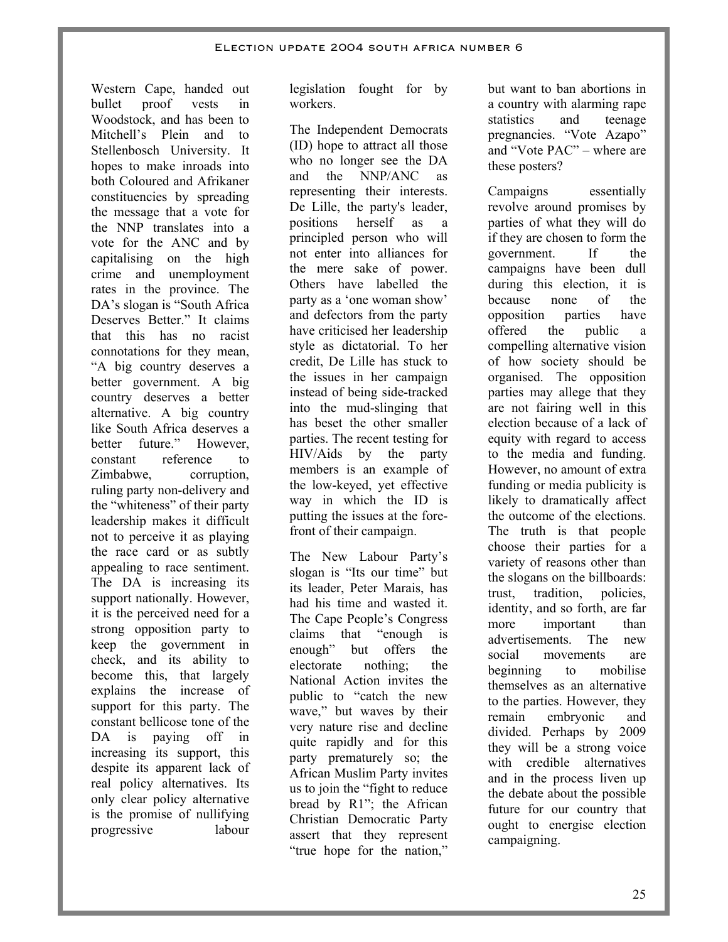Western Cape, handed out bullet proof vests in Woodstock, and has been to Mitchell's Plein and to Stellenbosch University. It hopes to make inroads into both Coloured and Afrikaner constituencies by spreading the message that a vote for the NNP translates into a vote for the ANC and by capitalising on the high crime and unemployment rates in the province. The DA's slogan is "South Africa Deserves Better." It claims that this has no racist connotations for they mean, "A big country deserves a better government. A big country deserves a better alternative. A big country like South Africa deserves a better future." However constant reference to Zimbabwe, corruption, ruling party non-delivery and the "whiteness" of their party leadership makes it difficult not to perceive it as playing the race card or as subtly appealing to race sentiment. The DA is increasing its support nationally. However, it is the perceived need for a strong opposition party to keep the government in check, and its ability to become this, that largely explains the increase of support for this party. The constant bellicose tone of the DA is paying off in increasing its support, this despite its apparent lack of real policy alternatives. Its only clear policy alternative is the promise of nullifying progressive labour

legislation fought for by workers.

The Independent Democrats (ID) hope to attract all those who no longer see the DA and the NNP/ANC as representing their interests. De Lille, the party's leader, positions herself as a principled person who will not enter into alliances for the mere sake of power. Others have labelled the party as a 'one woman show' and defectors from the party have criticised her leadership style as dictatorial. To her credit, De Lille has stuck to the issues in her campaign instead of being side-tracked into the mud-slinging that has beset the other smaller parties. The recent testing for HIV/Aids by the party members is an example of the low-keyed, yet effective way in which the ID is putting the issues at the forefront of their campaign.

The New Labour Party's slogan is "Its our time" but its leader, Peter Marais, has had his time and wasted it. The Cape People's Congress claims that "enough is enough" but offers the electorate nothing; the National Action invites the public to "catch the new wave," but waves by their very nature rise and decline quite rapidly and for this party prematurely so; the African Muslim Party invites us to join the "fight to reduce bread by R1"; the African Christian Democratic Party assert that they represent "true hope for the nation,"

but want to ban abortions in a country with alarming rape statistics and teenage pregnancies. "Vote Azapo" and "Vote PAC" – where are these posters?

Campaigns essentially revolve around promises by parties of what they will do if they are chosen to form the government. If the campaigns have been dull during this election, it is because none of the opposition parties have offered the public a compelling alternative vision of how society should be organised. The opposition parties may allege that they are not fairing well in this election because of a lack of equity with regard to access to the media and funding. However, no amount of extra funding or media publicity is likely to dramatically affect the outcome of the elections. The truth is that people choose their parties for a variety of reasons other than the slogans on the billboards: trust, tradition, policies, identity, and so forth, are far more important than advertisements. The new social movements are beginning to mobilise themselves as an alternative to the parties. However, they remain embryonic and divided. Perhaps by 2009 they will be a strong voice with credible alternatives and in the process liven up the debate about the possible future for our country that ought to energise election campaigning.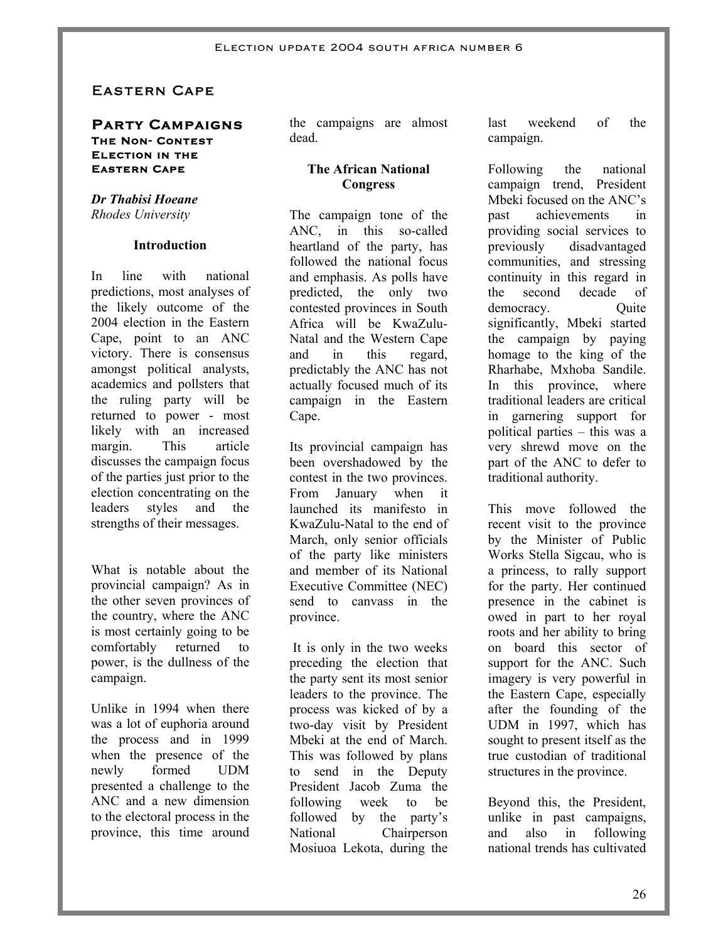# Eastern Cape

#### **Party Campaigns The Non- Contest Election in the Eastern Cape**

#### *Dr Thabisi Hoeane Rhodes University*

#### **Introduction**

In line with national predictions, most analyses of the likely outcome of the 2004 election in the Eastern Cape, point to an ANC victory. There is consensus amongst political analysts, academics and pollsters that the ruling party will be returned to power - most likely with an increased margin. This article discusses the campaign focus of the parties just prior to the election concentrating on the leaders styles and the strengths of their messages.

What is notable about the provincial campaign? As in the other seven provinces of the country, where the ANC is most certainly going to be comfortably returned to power, is the dullness of the campaign.

Unlike in 1994 when there was a lot of euphoria around the process and in 1999 when the presence of the newly formed UDM presented a challenge to the ANC and a new dimension to the electoral process in the province, this time around the campaigns are almost dead.

#### **The African National Congress**

The campaign tone of the ANC, in this so-called heartland of the party, has followed the national focus and emphasis. As polls have predicted, the only two contested provinces in South Africa will be KwaZulu-Natal and the Western Cape and in this regard, predictably the ANC has not actually focused much of its campaign in the Eastern Cape.

Its provincial campaign has been overshadowed by the contest in the two provinces. From January when it launched its manifesto in KwaZulu-Natal to the end of March, only senior officials of the party like ministers and member of its National Executive Committee (NEC) send to canvass in the province.

 It is only in the two weeks preceding the election that the party sent its most senior leaders to the province. The process was kicked of by a two-day visit by President Mbeki at the end of March. This was followed by plans to send in the Deputy President Jacob Zuma the following week to be followed by the party's National Chairperson Mosiuoa Lekota, during the last weekend of the campaign.

Following the national campaign trend, President Mbeki focused on the ANC's past achievements in providing social services to previously disadvantaged communities, and stressing continuity in this regard in the second decade of democracy. Ouite significantly, Mbeki started the campaign by paying homage to the king of the Rharhabe, Mxhoba Sandile. In this province, where traditional leaders are critical in garnering support for political parties – this was a very shrewd move on the part of the ANC to defer to traditional authority.

This move followed the recent visit to the province by the Minister of Public Works Stella Sigcau, who is a princess, to rally support for the party. Her continued presence in the cabinet is owed in part to her royal roots and her ability to bring on board this sector of support for the ANC. Such imagery is very powerful in the Eastern Cape, especially after the founding of the UDM in 1997, which has sought to present itself as the true custodian of traditional structures in the province.

Beyond this, the President, unlike in past campaigns, and also in following national trends has cultivated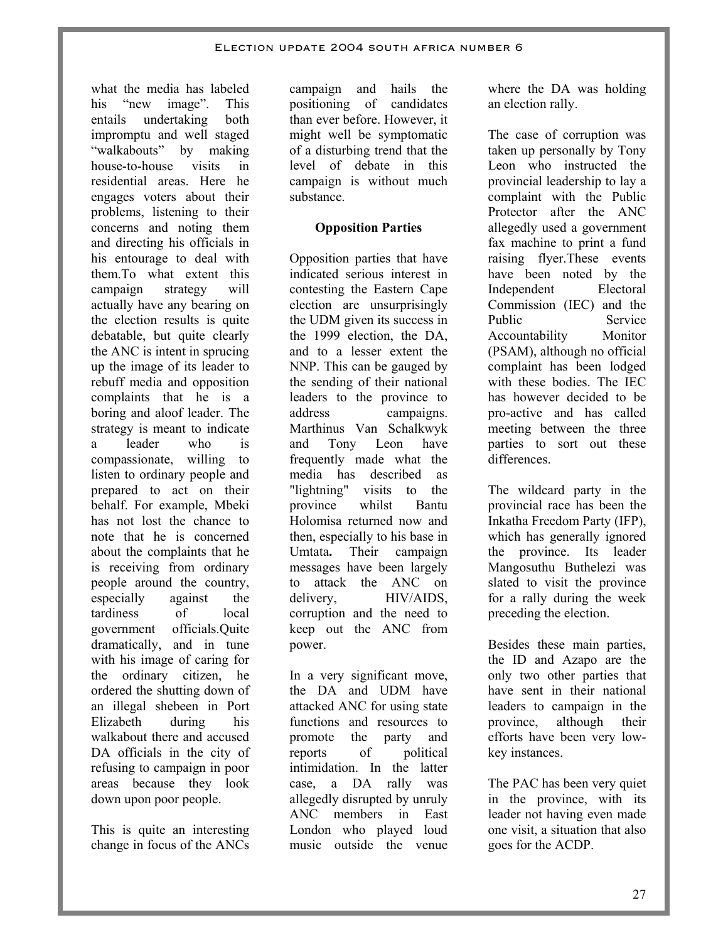what the media has labeled his "new image". This entails undertaking both impromptu and well staged "walkabouts" by making house-to-house visits in residential areas. Here he engages voters about their problems, listening to their concerns and noting them and directing his officials in his entourage to deal with them.To what extent this campaign strategy will actually have any bearing on the election results is quite debatable, but quite clearly the ANC is intent in sprucing up the image of its leader to rebuff media and opposition complaints that he is a boring and aloof leader. The strategy is meant to indicate a leader who is compassionate, willing to listen to ordinary people and prepared to act on their behalf. For example, Mbeki has not lost the chance to note that he is concerned about the complaints that he is receiving from ordinary people around the country, especially against the tardiness of local government officials.Quite dramatically, and in tune with his image of caring for the ordinary citizen, he ordered the shutting down of an illegal shebeen in Port Elizabeth during his walkabout there and accused DA officials in the city of refusing to campaign in poor areas because they look down upon poor people.

This is quite an interesting change in focus of the ANCs

campaign and hails the positioning of candidates than ever before. However, it might well be symptomatic of a disturbing trend that the level of debate in this campaign is without much substance.

### **Opposition Parties**

Opposition parties that have indicated serious interest in contesting the Eastern Cape election are unsurprisingly the UDM given its success in the 1999 election, the DA, and to a lesser extent the NNP. This can be gauged by the sending of their national leaders to the province to address campaigns. Marthinus Van Schalkwyk and Tony Leon have frequently made what the media has described as "lightning" visits to the province whilst Bantu Holomisa returned now and then, especially to his base in Umtata**.** Their campaign messages have been largely to attack the ANC on delivery. **HIV/AIDS**, corruption and the need to keep out the ANC from power.

In a very significant move, the DA and UDM have attacked ANC for using state functions and resources to promote the party and reports of political intimidation. In the latter case, a DA rally was allegedly disrupted by unruly ANC members in East London who played loud music outside the venue where the DA was holding an election rally.

The case of corruption was taken up personally by Tony Leon who instructed the provincial leadership to lay a complaint with the Public Protector after the ANC allegedly used a government fax machine to print a fund raising flyer.These events have been noted by the Independent Electoral Commission (IEC) and the Public Service Accountability Monitor (PSAM), although no official complaint has been lodged with these bodies. The IEC has however decided to be pro-active and has called meeting between the three parties to sort out these differences.

The wildcard party in the provincial race has been the Inkatha Freedom Party (IFP), which has generally ignored the province. Its leader Mangosuthu Buthelezi was slated to visit the province for a rally during the week preceding the election.

Besides these main parties, the ID and Azapo are the only two other parties that have sent in their national leaders to campaign in the province, although their efforts have been very lowkey instances.

The PAC has been very quiet in the province, with its leader not having even made one visit, a situation that also goes for the ACDP.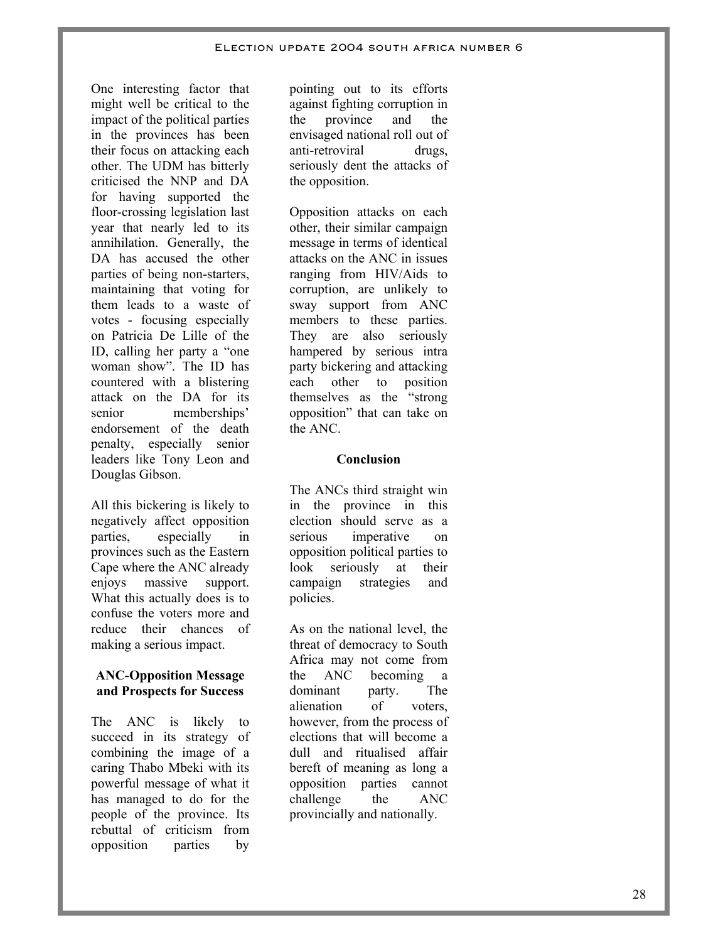One interesting factor that might well be critical to the impact of the political parties in the provinces has been their focus on attacking each other. The UDM has bitterly criticised the NNP and DA for having supported the floor-crossing legislation last year that nearly led to its annihilation. Generally, the DA has accused the other parties of being non-starters, maintaining that voting for them leads to a waste of votes - focusing especially on Patricia De Lille of the ID, calling her party a "one woman show". The ID has countered with a blistering attack on the DA for its senior memberships' endorsement of the death penalty, especially senior leaders like Tony Leon and Douglas Gibson.

All this bickering is likely to negatively affect opposition parties, especially in provinces such as the Eastern Cape where the ANC already enjoys massive support. What this actually does is to confuse the voters more and reduce their chances of making a serious impact.

### **ANC-Opposition Message and Prospects for Success**

The ANC is likely to succeed in its strategy of combining the image of a caring Thabo Mbeki with its powerful message of what it has managed to do for the people of the province. Its rebuttal of criticism from opposition parties by

pointing out to its efforts against fighting corruption in the province and the envisaged national roll out of anti-retroviral drugs, seriously dent the attacks of the opposition.

Opposition attacks on each other, their similar campaign message in terms of identical attacks on the ANC in issues ranging from HIV/Aids to corruption, are unlikely to sway support from ANC members to these parties. They are also seriously hampered by serious intra party bickering and attacking each other to position themselves as the "strong opposition" that can take on the ANC.

### **Conclusion**

The ANCs third straight win in the province in this election should serve as a serious imperative on opposition political parties to look seriously at their campaign strategies and policies.

As on the national level, the threat of democracy to South Africa may not come from the ANC becoming a dominant party. The alienation of voters, however, from the process of elections that will become a dull and ritualised affair bereft of meaning as long a opposition parties cannot challenge the ANC provincially and nationally.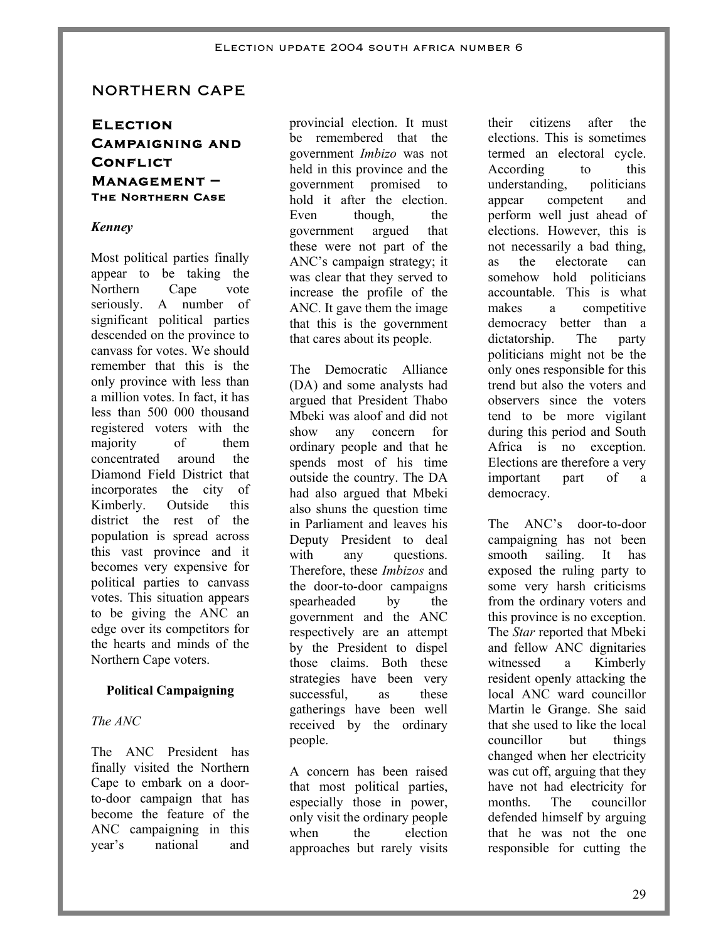# NORTHERN CAPE

# **Election Campaigning and Conflict Management – The Northern Case**

### *Kenney*

Most political parties finally appear to be taking the Northern Cape vote seriously. A number of significant political parties descended on the province to canvass for votes. We should remember that this is the only province with less than a million votes. In fact, it has less than 500 000 thousand registered voters with the majority of them concentrated around the Diamond Field District that incorporates the city of Kimberly. Outside this district the rest of the population is spread across this vast province and it becomes very expensive for political parties to canvass votes. This situation appears to be giving the ANC an edge over its competitors for the hearts and minds of the Northern Cape voters.

# **Political Campaigning**

# *The ANC*

The ANC President has finally visited the Northern Cape to embark on a doorto-door campaign that has become the feature of the ANC campaigning in this year's national and

provincial election. It must be remembered that the government *Imbizo* was not held in this province and the government promised to hold it after the election. Even though, the government argued that these were not part of the ANC's campaign strategy; it was clear that they served to increase the profile of the ANC. It gave them the image that this is the government that cares about its people.

The Democratic Alliance (DA) and some analysts had argued that President Thabo Mbeki was aloof and did not show any concern for ordinary people and that he spends most of his time outside the country. The DA had also argued that Mbeki also shuns the question time in Parliament and leaves his Deputy President to deal with any questions. Therefore, these *Imbizos* and the door-to-door campaigns spearheaded by the government and the ANC respectively are an attempt by the President to dispel those claims. Both these strategies have been very successful, as these gatherings have been well received by the ordinary people.

A concern has been raised that most political parties, especially those in power, only visit the ordinary people when the election approaches but rarely visits

their citizens after the elections. This is sometimes termed an electoral cycle. According to this understanding, politicians appear competent and perform well just ahead of elections. However, this is not necessarily a bad thing, as the electorate can somehow hold politicians accountable. This is what makes a competitive democracy better than a dictatorship. The party politicians might not be the only ones responsible for this trend but also the voters and observers since the voters tend to be more vigilant during this period and South Africa is no exception. Elections are therefore a very important part of a democracy.

The ANC's door-to-door campaigning has not been smooth sailing. It has exposed the ruling party to some very harsh criticisms from the ordinary voters and this province is no exception. The *Star* reported that Mbeki and fellow ANC dignitaries witnessed a Kimberly resident openly attacking the local ANC ward councillor Martin le Grange. She said that she used to like the local councillor but things changed when her electricity was cut off, arguing that they have not had electricity for months. The councillor defended himself by arguing that he was not the one responsible for cutting the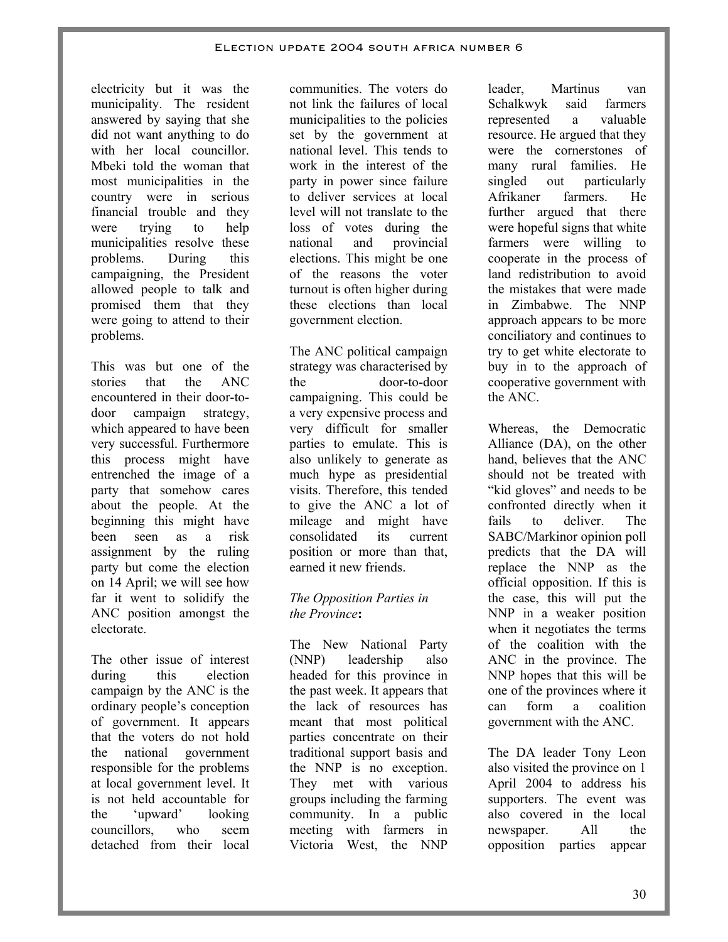#### Election update 2004 south africa number 6

electricity but it was the municipality. The resident answered by saying that she did not want anything to do with her local councillor. Mbeki told the woman that most municipalities in the country were in serious financial trouble and they were trying to help municipalities resolve these problems. During this campaigning, the President allowed people to talk and promised them that they were going to attend to their problems.

This was but one of the stories that the ANC encountered in their door-todoor campaign strategy, which appeared to have been very successful. Furthermore this process might have entrenched the image of a party that somehow cares about the people. At the beginning this might have been seen as a risk assignment by the ruling party but come the election on 14 April; we will see how far it went to solidify the ANC position amongst the electorate.

The other issue of interest during this election campaign by the ANC is the ordinary people's conception of government. It appears that the voters do not hold the national government responsible for the problems at local government level. It is not held accountable for the 'upward' looking councillors, who seem detached from their local

communities. The voters do not link the failures of local municipalities to the policies set by the government at national level. This tends to work in the interest of the party in power since failure to deliver services at local level will not translate to the loss of votes during the national and provincial elections. This might be one of the reasons the voter turnout is often higher during these elections than local government election.

The ANC political campaign strategy was characterised by the door-to-door campaigning. This could be a very expensive process and very difficult for smaller parties to emulate. This is also unlikely to generate as much hype as presidential visits. Therefore, this tended to give the ANC a lot of mileage and might have consolidated its current position or more than that, earned it new friends.

### *The Opposition Parties in the Province***:**

The New National Party (NNP) leadership also headed for this province in the past week. It appears that the lack of resources has meant that most political parties concentrate on their traditional support basis and the NNP is no exception. They met with various groups including the farming community. In a public meeting with farmers in Victoria West, the NNP

leader, Martinus van Schalkwyk said farmers represented a valuable resource. He argued that they were the cornerstones of many rural families. He singled out particularly Afrikaner farmers. He further argued that there were hopeful signs that white farmers were willing to cooperate in the process of land redistribution to avoid the mistakes that were made in Zimbabwe. The NNP approach appears to be more conciliatory and continues to try to get white electorate to buy in to the approach of cooperative government with the ANC.

Whereas, the Democratic Alliance (DA), on the other hand, believes that the ANC should not be treated with "kid gloves" and needs to be confronted directly when it fails to deliver. The SABC/Markinor opinion poll predicts that the DA will replace the NNP as the official opposition. If this is the case, this will put the NNP in a weaker position when it negotiates the terms of the coalition with the ANC in the province. The NNP hopes that this will be one of the provinces where it can form a coalition government with the ANC.

The DA leader Tony Leon also visited the province on 1 April 2004 to address his supporters. The event was also covered in the local newspaper. All the opposition parties appear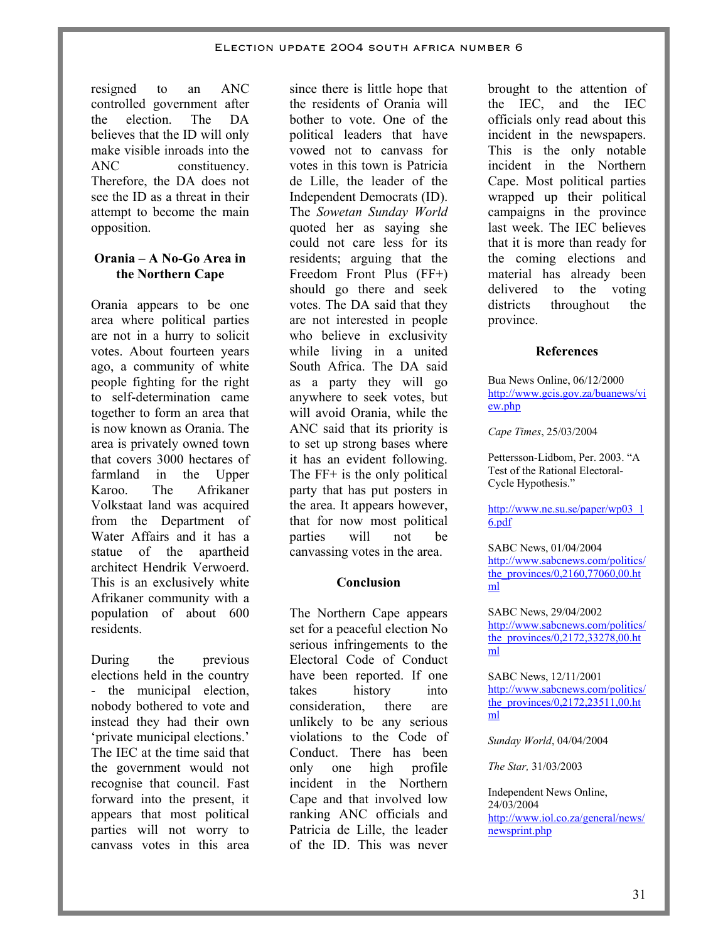resigned to an ANC controlled government after the election. The DA believes that the ID will only make visible inroads into the ANC constituency. Therefore, the DA does not see the ID as a threat in their attempt to become the main opposition.

#### **Orania – A No-Go Area in the Northern Cape**

Orania appears to be one area where political parties are not in a hurry to solicit votes. About fourteen years ago, a community of white people fighting for the right to self-determination came together to form an area that is now known as Orania. The area is privately owned town that covers 3000 hectares of farmland in the Upper Karoo. The Afrikaner Volkstaat land was acquired from the Department of Water Affairs and it has a statue of the apartheid architect Hendrik Verwoerd. This is an exclusively white Afrikaner community with a population of about 600 residents.

During the previous elections held in the country - the municipal election, nobody bothered to vote and instead they had their own 'private municipal elections.' The IEC at the time said that the government would not recognise that council. Fast forward into the present, it appears that most political parties will not worry to canvass votes in this area

since there is little hope that the residents of Orania will bother to vote. One of the political leaders that have vowed not to canvass for votes in this town is Patricia de Lille, the leader of the Independent Democrats (ID). The *Sowetan Sunday World* quoted her as saying she could not care less for its residents; arguing that the Freedom Front Plus (FF+) should go there and seek votes. The DA said that they are not interested in people who believe in exclusivity while living in a united South Africa. The DA said as a party they will go anywhere to seek votes, but will avoid Orania, while the ANC said that its priority is to set up strong bases where it has an evident following. The FF+ is the only political party that has put posters in the area. It appears however, that for now most political parties will not be canvassing votes in the area.

### **Conclusion**

The Northern Cape appears set for a peaceful election No serious infringements to the Electoral Code of Conduct have been reported. If one takes history into consideration, there are unlikely to be any serious violations to the Code of Conduct. There has been only one high profile incident in the Northern Cape and that involved low ranking ANC officials and Patricia de Lille, the leader of the ID. This was never

brought to the attention of the IEC, and the IEC officials only read about this incident in the newspapers. This is the only notable incident in the Northern Cape. Most political parties wrapped up their political campaigns in the province last week. The IEC believes that it is more than ready for the coming elections and material has already been delivered to the voting districts throughout the province.

#### **References**

Bua News Online, 06/12/2000 http://www.gcis.gov.za/buanews/vi ew.php

*Cape Times*, 25/03/2004

Pettersson-Lidbom, Per. 2003. "A Test of the Rational Electoral-Cycle Hypothesis."

http://www.ne.su.se/paper/wp03\_1 6.pdf

SABC News, 01/04/2004 http://www.sabcnews.com/politics/ the\_provinces/0,2160,77060,00.ht ml

SABC News, 29/04/2002 http://www.sabcnews.com/politics/ the\_provinces/0,2172,33278,00.ht ml

SABC News, 12/11/2001 http://www.sabcnews.com/politics/ the provinces/0,2172,23511,00.ht ml

*Sunday World*, 04/04/2004

*The Star,* 31/03/2003

Independent News Online, 24/03/2004 http://www.iol.co.za/general/news/ newsprint.php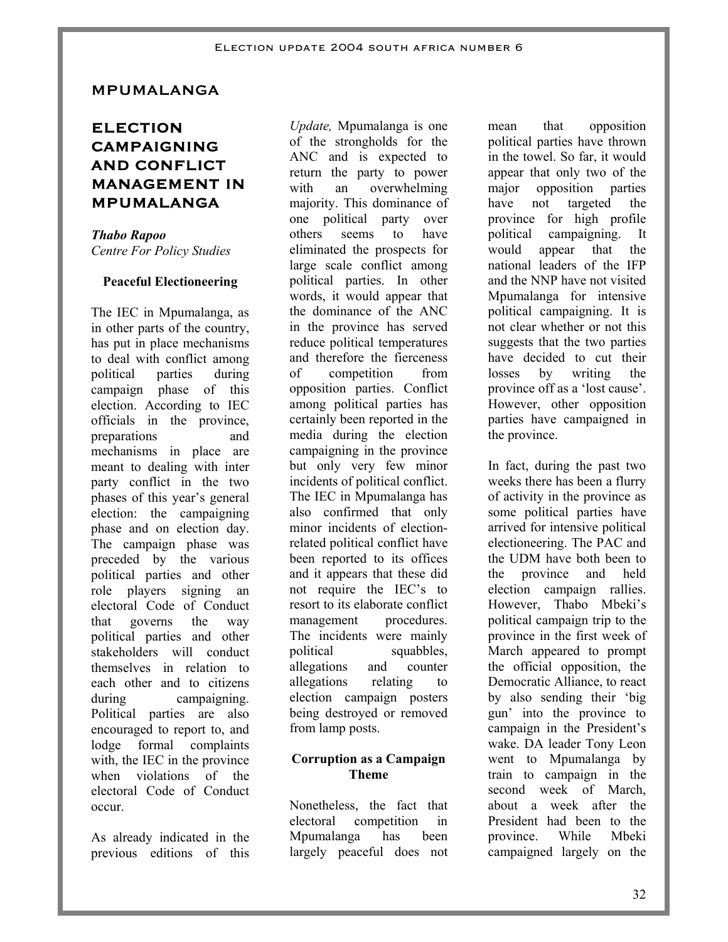#### **MPUMALANGA**

# **ELECTION CAMPAIGNING AND CONFLICT MANAGEMENT IN MPUMALANGA**

*Thabo Rapoo Centre For Policy Studies* 

#### **Peaceful Electioneering**

The IEC in Mpumalanga, as in other parts of the country, has put in place mechanisms to deal with conflict among political parties during campaign phase of this election. According to IEC officials in the province, preparations and mechanisms in place are meant to dealing with inter party conflict in the two phases of this year's general election: the campaigning phase and on election day. The campaign phase was preceded by the various political parties and other role players signing an electoral Code of Conduct that governs the way political parties and other stakeholders will conduct themselves in relation to each other and to citizens during campaigning. Political parties are also encouraged to report to, and lodge formal complaints with, the IEC in the province when violations of the electoral Code of Conduct occur.

As already indicated in the previous editions of this

*Update,* Mpumalanga is one of the strongholds for the ANC and is expected to return the party to power with an overwhelming majority. This dominance of one political party over others seems to have eliminated the prospects for large scale conflict among political parties. In other words, it would appear that the dominance of the ANC in the province has served reduce political temperatures and therefore the fierceness of competition from opposition parties. Conflict among political parties has certainly been reported in the media during the election campaigning in the province but only very few minor incidents of political conflict. The IEC in Mpumalanga has also confirmed that only minor incidents of electionrelated political conflict have been reported to its offices and it appears that these did not require the IEC's to resort to its elaborate conflict management procedures. The incidents were mainly political squabbles, allegations and counter allegations relating to election campaign posters being destroyed or removed from lamp posts.

#### **Corruption as a Campaign Theme**

Nonetheless, the fact that electoral competition in Mpumalanga has been largely peaceful does not

mean that opposition political parties have thrown in the towel. So far, it would appear that only two of the major opposition parties have not targeted the province for high profile political campaigning. It would appear that the national leaders of the IFP and the NNP have not visited Mpumalanga for intensive political campaigning. It is not clear whether or not this suggests that the two parties have decided to cut their losses by writing the province off as a 'lost cause'. However, other opposition parties have campaigned in the province.

In fact, during the past two weeks there has been a flurry of activity in the province as some political parties have arrived for intensive political electioneering. The PAC and the UDM have both been to the province and held election campaign rallies. However, Thabo Mbeki's political campaign trip to the province in the first week of March appeared to prompt the official opposition, the Democratic Alliance, to react by also sending their 'big gun' into the province to campaign in the President's wake. DA leader Tony Leon went to Mpumalanga by train to campaign in the second week of March, about a week after the President had been to the province. While Mbeki campaigned largely on the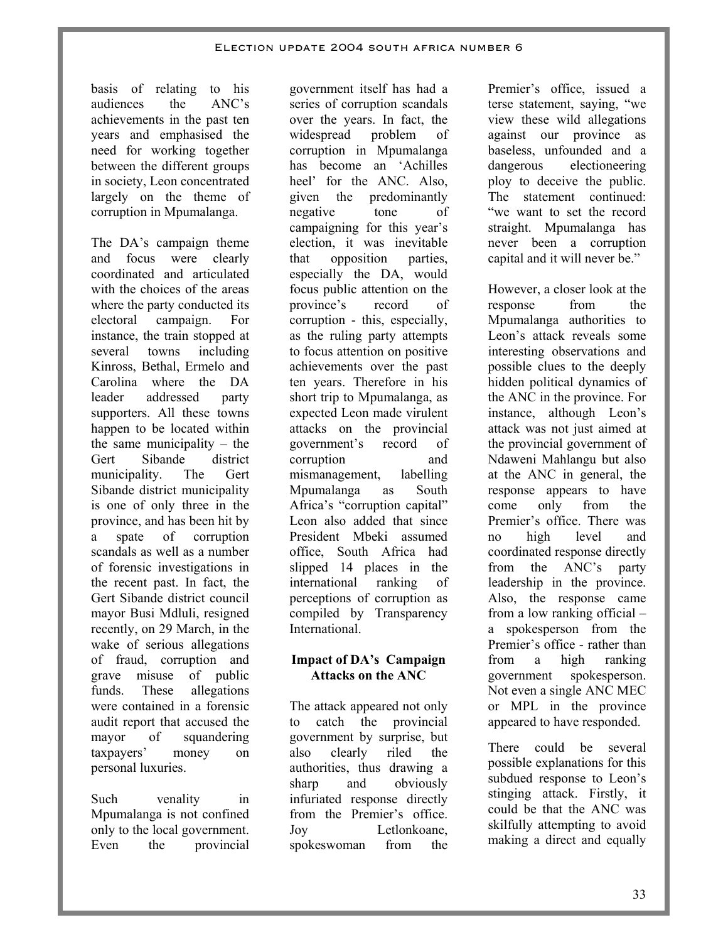basis of relating to his audiences the ANC's achievements in the past ten years and emphasised the need for working together between the different groups in society, Leon concentrated largely on the theme of corruption in Mpumalanga.

The DA's campaign theme and focus were clearly coordinated and articulated with the choices of the areas where the party conducted its electoral campaign. For instance, the train stopped at several towns including Kinross, Bethal, Ermelo and Carolina where the DA leader addressed party supporters. All these towns happen to be located within the same municipality – the Gert Sibande district municipality. The Gert Sibande district municipality is one of only three in the province, and has been hit by a spate of corruption scandals as well as a number of forensic investigations in the recent past. In fact, the Gert Sibande district council mayor Busi Mdluli, resigned recently, on 29 March, in the wake of serious allegations of fraud, corruption and grave misuse of public funds. These allegations were contained in a forensic audit report that accused the mayor of squandering taxpayers' money on personal luxuries.

Such venality in Mpumalanga is not confined only to the local government. Even the provincial

government itself has had a series of corruption scandals over the years. In fact, the widespread problem of corruption in Mpumalanga has become an 'Achilles heel' for the ANC. Also, given the predominantly negative tone of campaigning for this year's election, it was inevitable that opposition parties, especially the DA, would focus public attention on the province's record of corruption - this, especially, as the ruling party attempts to focus attention on positive achievements over the past ten years. Therefore in his short trip to Mpumalanga, as expected Leon made virulent attacks on the provincial government's record of corruption and mismanagement, labelling Mpumalanga as South Africa's "corruption capital" Leon also added that since President Mbeki assumed office, South Africa had slipped 14 places in the international ranking of perceptions of corruption as compiled by Transparency **International** 

### **Impact of DA's Campaign Attacks on the ANC**

The attack appeared not only to catch the provincial government by surprise, but also clearly riled the authorities, thus drawing a sharp and obviously infuriated response directly from the Premier's office. Joy Letlonkoane, spokeswoman from the

Premier's office, issued a terse statement, saying, "we view these wild allegations against our province as baseless, unfounded and a dangerous electioneering ploy to deceive the public. The statement continued: "we want to set the record straight. Mpumalanga has never been a corruption capital and it will never be."

However, a closer look at the response from the Mpumalanga authorities to Leon's attack reveals some interesting observations and possible clues to the deeply hidden political dynamics of the ANC in the province. For instance, although Leon's attack was not just aimed at the provincial government of Ndaweni Mahlangu but also at the ANC in general, the response appears to have come only from the Premier's office. There was no high level and coordinated response directly from the ANC's party leadership in the province. Also, the response came from a low ranking official – a spokesperson from the Premier's office - rather than from a high ranking government spokesperson. Not even a single ANC MEC or MPL in the province appeared to have responded.

There could be several possible explanations for this subdued response to Leon's stinging attack. Firstly, it could be that the ANC was skilfully attempting to avoid making a direct and equally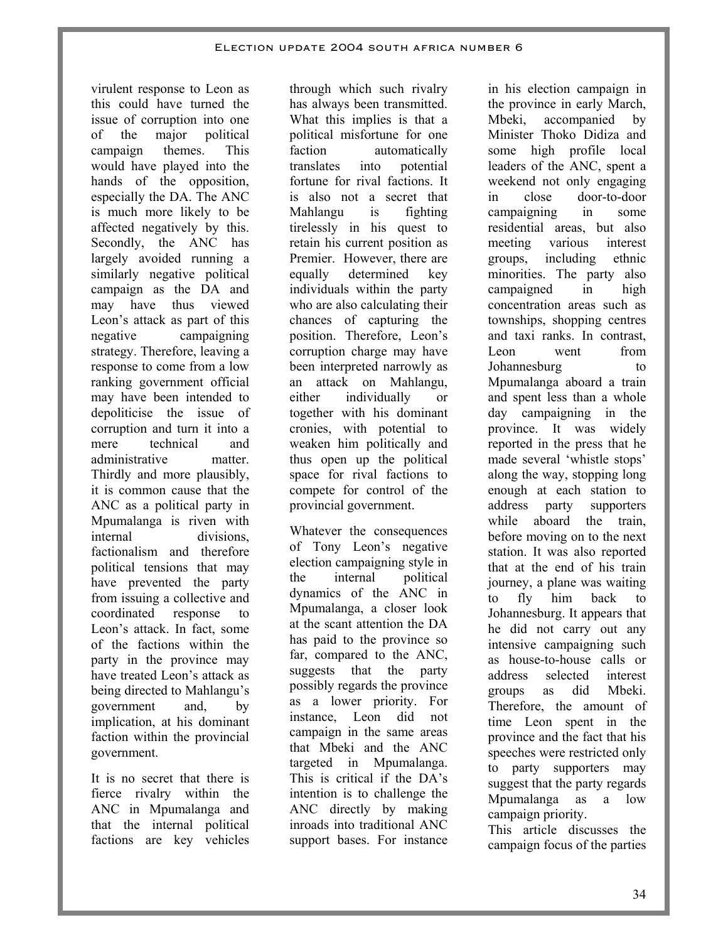virulent response to Leon as this could have turned the issue of corruption into one of the major political campaign themes. This would have played into the hands of the opposition, especially the DA. The ANC is much more likely to be affected negatively by this. Secondly, the ANC has largely avoided running a similarly negative political campaign as the DA and may have thus viewed Leon's attack as part of this negative campaigning strategy. Therefore, leaving a response to come from a low ranking government official may have been intended to depoliticise the issue of corruption and turn it into a mere technical and administrative matter. Thirdly and more plausibly, it is common cause that the ANC as a political party in Mpumalanga is riven with internal divisions, factionalism and therefore political tensions that may have prevented the party from issuing a collective and coordinated response to Leon's attack. In fact, some of the factions within the party in the province may have treated Leon's attack as being directed to Mahlangu's government and, by implication, at his dominant faction within the provincial government.

It is no secret that there is fierce rivalry within the ANC in Mpumalanga and that the internal political factions are key vehicles

through which such rivalry has always been transmitted. What this implies is that a political misfortune for one faction automatically translates into potential fortune for rival factions. It is also not a secret that Mahlangu is fighting tirelessly in his quest to retain his current position as Premier. However, there are equally determined key individuals within the party who are also calculating their chances of capturing the position. Therefore, Leon's corruption charge may have been interpreted narrowly as an attack on Mahlangu, either individually or together with his dominant cronies, with potential to weaken him politically and thus open up the political space for rival factions to compete for control of the provincial government.

Whatever the consequences of Tony Leon's negative election campaigning style in the internal political dynamics of the ANC in Mpumalanga, a closer look at the scant attention the DA has paid to the province so far, compared to the ANC, suggests that the party possibly regards the province as a lower priority. For instance, Leon did not campaign in the same areas that Mbeki and the ANC targeted in Mpumalanga. This is critical if the DA's intention is to challenge the ANC directly by making inroads into traditional ANC support bases. For instance

in his election campaign in the province in early March, Mbeki, accompanied by Minister Thoko Didiza and some high profile local leaders of the ANC, spent a weekend not only engaging in close door-to-door campaigning in some residential areas, but also meeting various interest groups, including ethnic minorities. The party also campaigned in high concentration areas such as townships, shopping centres and taxi ranks. In contrast, Leon went from Johannesburg to Mpumalanga aboard a train and spent less than a whole day campaigning in the province. It was widely reported in the press that he made several 'whistle stops' along the way, stopping long enough at each station to address party supporters while aboard the train, before moving on to the next station. It was also reported that at the end of his train journey, a plane was waiting to fly him back to Johannesburg. It appears that he did not carry out any intensive campaigning such as house-to-house calls or address selected interest groups as did Mbeki. Therefore, the amount of time Leon spent in the province and the fact that his speeches were restricted only to party supporters may suggest that the party regards Mpumalanga as a low campaign priority.

This article discusses the campaign focus of the parties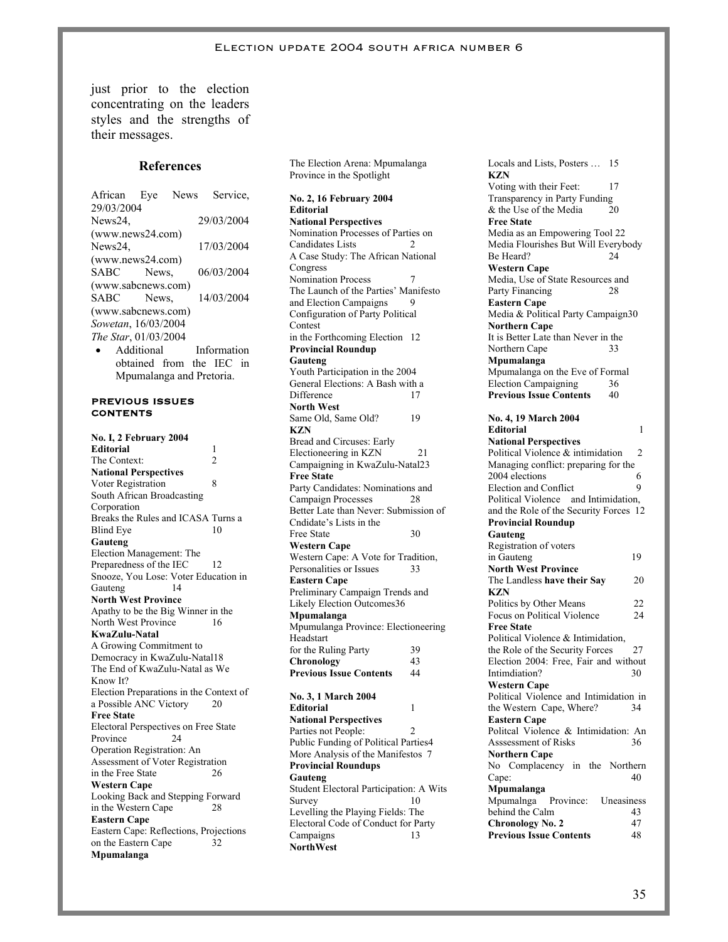just prior to the election concentrating on the leaders styles and the strengths of their messages.

#### **References**

African Eye News Service, 29/03/2004 News24, 29/03/2004 (www.news24.com) News24, 17/03/2004 (www.news24.com) SABC News, 06/03/2004 (www.sabcnews.com) SABC News, 14/03/2004 (www.sabcnews.com) *Sowetan*, 16/03/2004 *The Star*, 01/03/2004 • Additional Information

obtained from the IEC in Mpumalanga and Pretoria.

#### **PREVIOUS ISSUES CONTENTS**

**No. I, 2 February 2004 Editorial** 1 The Context: 2 **National Perspectives**  Voter Registration 8 South African Broadcasting Corporation Breaks the Rules and ICASA Turns a Blind Eye 10 **Gauteng**  Election Management: The Preparedness of the IEC 12 Snooze, You Lose: Voter Education in<br>Gauteng 14 Gauteng **North West Province** Apathy to be the Big Winner in the North West Province 16 **KwaZulu-Natal**  A Growing Commitment to Democracy in KwaZulu-Natal18 The End of KwaZulu-Natal as We Know It? Election Preparations in the Context of a Possible ANC Victory 20 **Free State**  Electoral Perspectives on Free State Province 24 Operation Registration: An Assessment of Voter Registration in the Free State 26 **Western Cape**  Looking Back and Stepping Forward in the Western Cape 28 **Eastern Cape**  Eastern Cape: Reflections, Projections on the Eastern Cape 32 **Mpumalanga** 

The Election Arena: Mpumalanga Province in the Spotlight

**No. 2, 16 February 2004 Editorial National Perspectives**  Nomination Processes of Parties on Candidates Lists 2 A Case Study: The African National **Congress** Nomination Process 7 The Launch of the Parties' Manifesto and Election Campaigns 9 Configuration of Party Political Contest in the Forthcoming Election 12 **Provincial Roundup Gauteng**  Youth Participation in the 2004 General Elections: A Bash with a Difference 17 **North West**  Same Old, Same Old? 19 **KZN**  Bread and Circuses: Early Electioneering in KZN 21 Campaigning in KwaZulu-Natal23 **Free State**  Party Candidates: Nominations and Campaign Processes 28 Better Late than Never: Submission of Cndidate's Lists in the Free State 30 **Western Cape**  Western Cape: A Vote for Tradition, Personalities or Issues 33 **Eastern Cape**  Preliminary Campaign Trends and Likely Election Outcomes36 **Mpumalanga**  Mpumulanga Province: Electioneering Headstart for the Ruling Party 39 **Chronology** 43<br>**Previous Issue Contents** 44 **Previous Issue Contents No. 3, 1 March 2004 Editorial** 1 **National Perspectives**  Parties not People: 2 Public Funding of Political Parties4 More Analysis of the Manifestos 7 **Provincial Roundups Gauteng**  Student Electoral Participation: A Wits Survey 10 Levelling the Playing Fields: The Electoral Code of Conduct for Party Campaigns 13 **NorthWest** 

Locals and Lists, Posters … 15 **KZN**  Voting with their Feet: 17 Transparency in Party Funding & the Use of the Media 20 **Free State**  Media as an Empowering Tool 22 Media Flourishes But Will Everybody Be Heard? 24 **Western Cape**  Media, Use of State Resources and Party Financing 28 **Eastern Cape**  Media & Political Party Campaign30 **Northern Cape**  It is Better Late than Never in the Northern Cape 33 **Mpumalanga**  Mpumalanga on the Eve of Formal Election Campaigning 36 **Previous Issue Contents** 40 **No. 4, 19 March 2004 Editorial** 1 **National Perspectives**  Political Violence & intimidation 2 Managing conflict: preparing for the 2004 elections 6 Election and Conflict 9 Political Violence and Intimidation, and the Role of the Security Forces 12 **Provincial Roundup Gauteng**  Registration of voters in Gauteng 19 **North West Province**  The Landless **have their Say** 20 **KZN**  Politics by Other Means 22 Focus on Political Violence 24 **Free State**  Political Violence & Intimidation, the Role of the Security Forces 27 Election 2004: Free, Fair and without<br>Intimdiation? Intimdiation? **Western Cape**  Political Violence and Intimidation in the Western Cape, Where? 34 **Eastern Cane** Politcal Violence & Intimidation: An Asssessment of Risks 36 **Northern Cape**  No Complacency in the Northern Cape: 40 **Mpumalanga**  Mpumalnga Province: Uneasiness behind the Calm 43<br> **Chronology No. 2** 47 **Chronology No. 2 Previous Issue Contents** 48